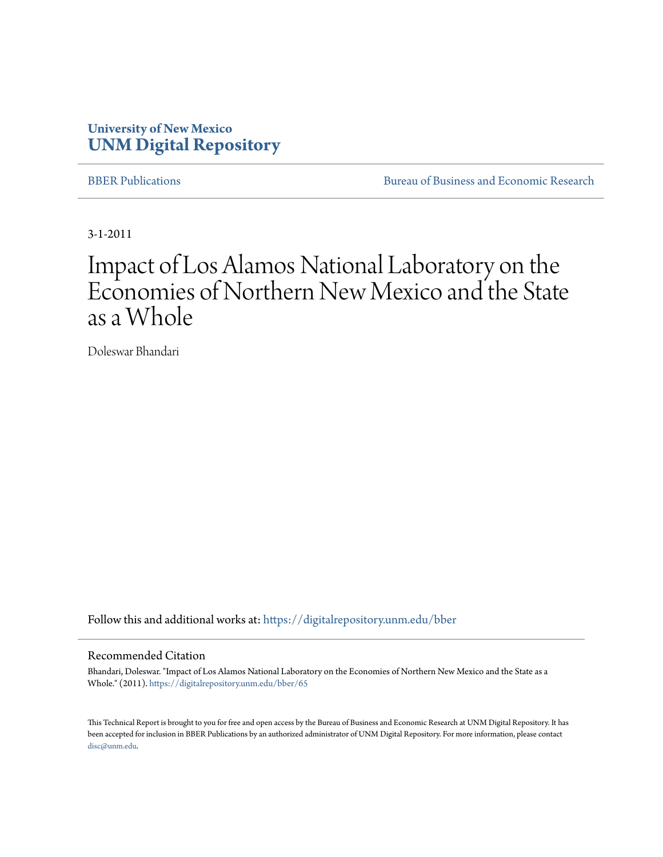# **University of New Mexico [UNM Digital Repository](https://digitalrepository.unm.edu?utm_source=digitalrepository.unm.edu%2Fbber%2F65&utm_medium=PDF&utm_campaign=PDFCoverPages)**

[BBER Publications](https://digitalrepository.unm.edu/bber?utm_source=digitalrepository.unm.edu%2Fbber%2F65&utm_medium=PDF&utm_campaign=PDFCoverPages) **BUREAU SERVICES** [Bureau of Business and Economic Research](https://digitalrepository.unm.edu/business_economic_research?utm_source=digitalrepository.unm.edu%2Fbber%2F65&utm_medium=PDF&utm_campaign=PDFCoverPages)

3-1-2011

# Impact of Los Alamos National Laboratory on the Economies of Northern New Mexico and the State as a Whole

Doleswar Bhandari

Follow this and additional works at: [https://digitalrepository.unm.edu/bber](https://digitalrepository.unm.edu/bber?utm_source=digitalrepository.unm.edu%2Fbber%2F65&utm_medium=PDF&utm_campaign=PDFCoverPages)

#### Recommended Citation

Bhandari, Doleswar. "Impact of Los Alamos National Laboratory on the Economies of Northern New Mexico and the State as a Whole." (2011). [https://digitalrepository.unm.edu/bber/65](https://digitalrepository.unm.edu/bber/65?utm_source=digitalrepository.unm.edu%2Fbber%2F65&utm_medium=PDF&utm_campaign=PDFCoverPages)

This Technical Report is brought to you for free and open access by the Bureau of Business and Economic Research at UNM Digital Repository. It has been accepted for inclusion in BBER Publications by an authorized administrator of UNM Digital Repository. For more information, please contact [disc@unm.edu](mailto:disc@unm.edu).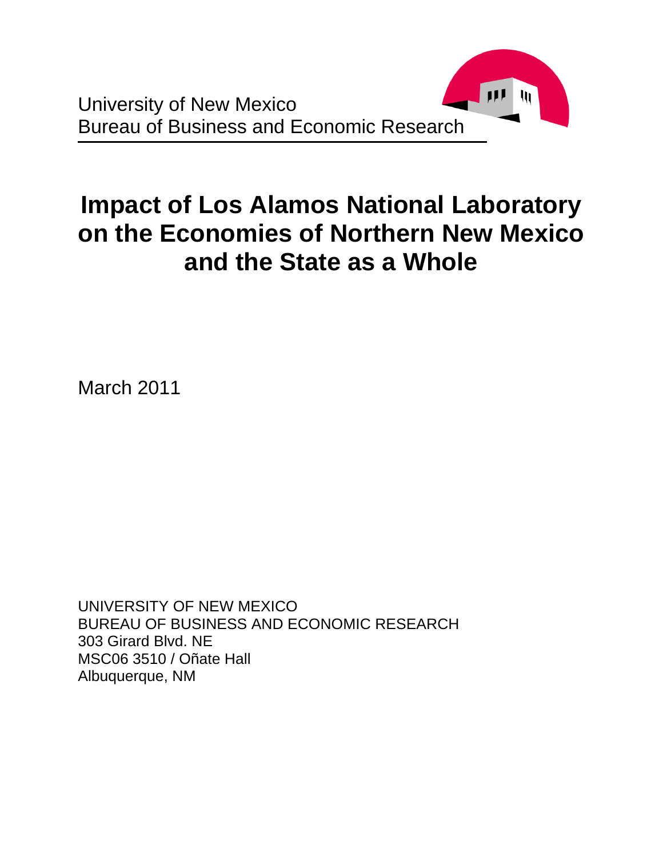

# **Impact of Los Alamos National Laboratory on the Economies of Northern New Mexico and the State as a Whole**

March 2011

UNIVERSITY OF NEW MEXICO BUREAU OF BUSINESS AND ECONOMIC RESEARCH 303 Girard Blvd. NE MSC06 3510 / Oñate Hall Albuquerque, NM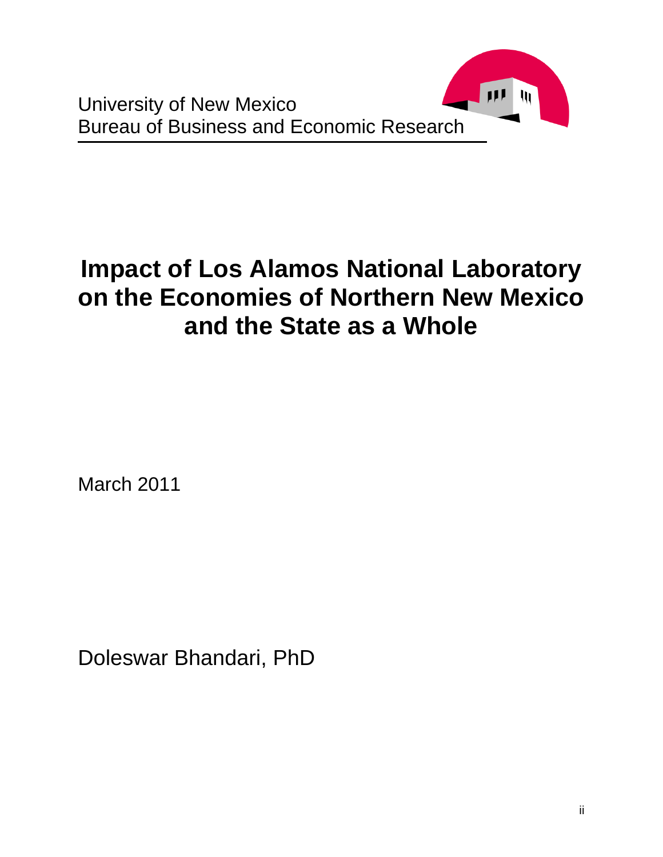

# **Impact of Los Alamos National Laboratory on the Economies of Northern New Mexico and the State as a Whole**

March 2011

Doleswar Bhandari, PhD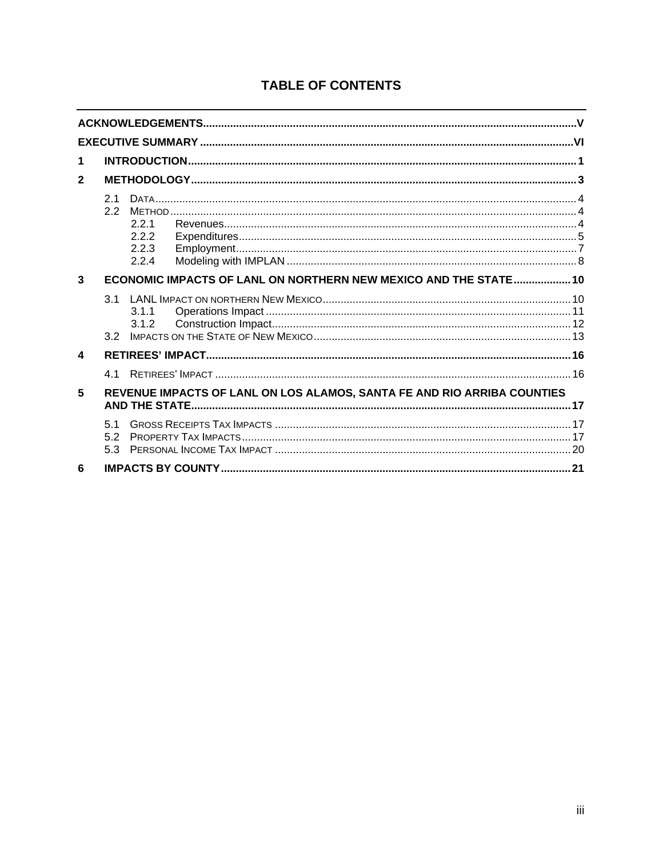# **TABLE OF CONTENTS**

| 1            |                 |                                                                         |  |
|--------------|-----------------|-------------------------------------------------------------------------|--|
| $\mathbf{2}$ |                 |                                                                         |  |
|              | 2.1<br>22       | 2.2.1<br>222<br>2.2.3                                                   |  |
|              |                 | 2.2.4                                                                   |  |
| 3            |                 | ECONOMIC IMPACTS OF LANL ON NORTHERN NEW MEXICO AND THE STATE 10        |  |
|              | 3.1<br>32       | 311<br>3.1.2                                                            |  |
| 4            |                 |                                                                         |  |
| 5            | 41              | REVENUE IMPACTS OF LANL ON LOS ALAMOS, SANTA FE AND RIO ARRIBA COUNTIES |  |
|              |                 |                                                                         |  |
|              | 51<br>52<br>5.3 |                                                                         |  |
| 6            |                 |                                                                         |  |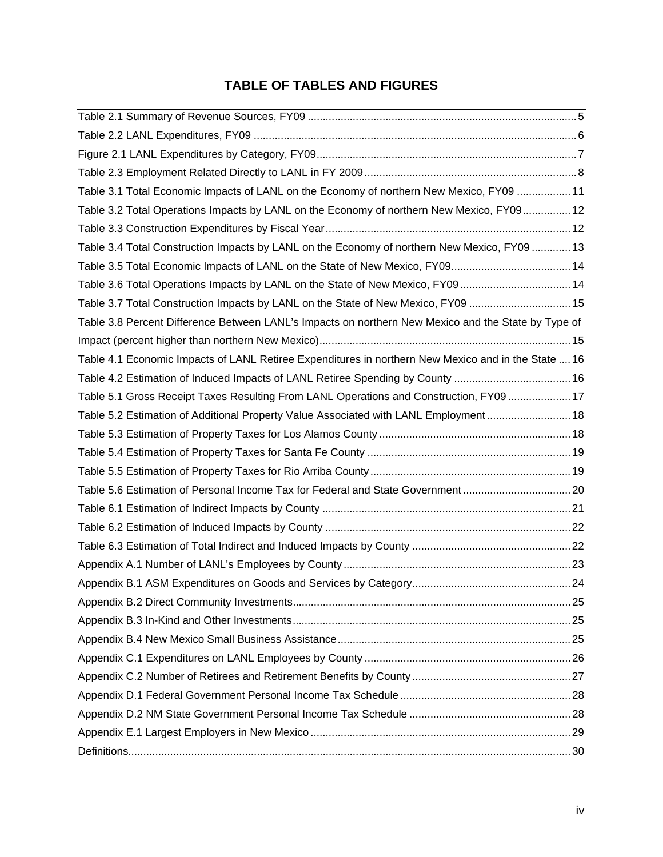# **TABLE OF TABLES AND FIGURES**

| Table 3.1 Total Economic Impacts of LANL on the Economy of northern New Mexico, FY09  11            |  |
|-----------------------------------------------------------------------------------------------------|--|
| Table 3.2 Total Operations Impacts by LANL on the Economy of northern New Mexico, FY09 12           |  |
|                                                                                                     |  |
| Table 3.4 Total Construction Impacts by LANL on the Economy of northern New Mexico, FY09  13        |  |
|                                                                                                     |  |
| Table 3.6 Total Operations Impacts by LANL on the State of New Mexico, FY09 14                      |  |
| Table 3.7 Total Construction Impacts by LANL on the State of New Mexico, FY09  15                   |  |
| Table 3.8 Percent Difference Between LANL's Impacts on northern New Mexico and the State by Type of |  |
|                                                                                                     |  |
| Table 4.1 Economic Impacts of LANL Retiree Expenditures in northern New Mexico and in the State  16 |  |
| Table 4.2 Estimation of Induced Impacts of LANL Retiree Spending by County  16                      |  |
| Table 5.1 Gross Receipt Taxes Resulting From LANL Operations and Construction, FY09  17             |  |
| Table 5.2 Estimation of Additional Property Value Associated with LANL Employment  18               |  |
|                                                                                                     |  |
|                                                                                                     |  |
|                                                                                                     |  |
| Table 5.6 Estimation of Personal Income Tax for Federal and State Government 20                     |  |
|                                                                                                     |  |
|                                                                                                     |  |
|                                                                                                     |  |
|                                                                                                     |  |
|                                                                                                     |  |
|                                                                                                     |  |
|                                                                                                     |  |
|                                                                                                     |  |
|                                                                                                     |  |
|                                                                                                     |  |
|                                                                                                     |  |
|                                                                                                     |  |
|                                                                                                     |  |
|                                                                                                     |  |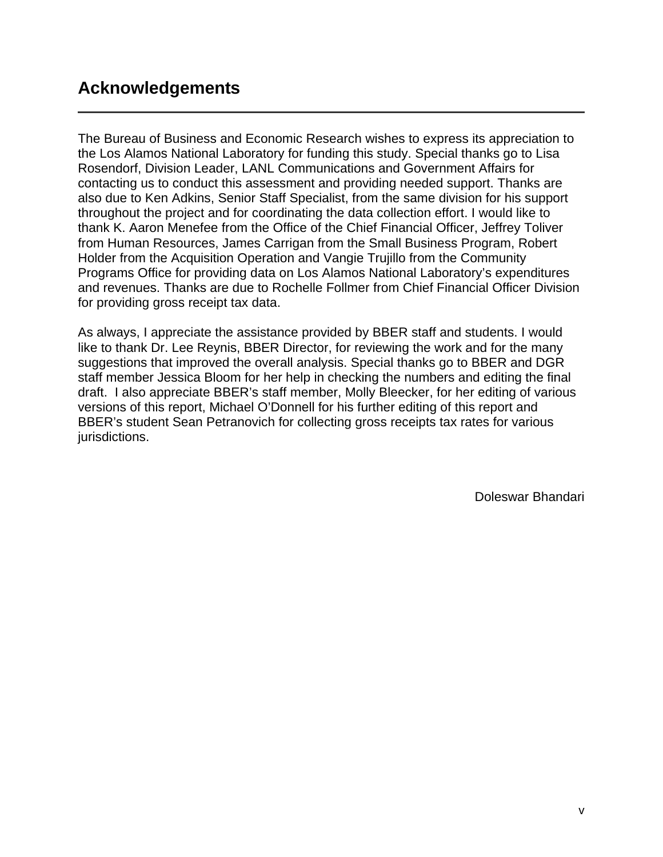# **Acknowledgements**

The Bureau of Business and Economic Research wishes to express its appreciation to the Los Alamos National Laboratory for funding this study. Special thanks go to Lisa Rosendorf, Division Leader, LANL Communications and Government Affairs for contacting us to conduct this assessment and providing needed support. Thanks are also due to Ken Adkins, Senior Staff Specialist, from the same division for his support throughout the project and for coordinating the data collection effort. I would like to thank K. Aaron Menefee from the Office of the Chief Financial Officer, Jeffrey Toliver from Human Resources, James Carrigan from the Small Business Program, Robert Holder from the Acquisition Operation and Vangie Trujillo from the Community Programs Office for providing data on Los Alamos National Laboratory's expenditures and revenues. Thanks are due to Rochelle Follmer from Chief Financial Officer Division for providing gross receipt tax data.

As always, I appreciate the assistance provided by BBER staff and students. I would like to thank Dr. Lee Reynis, BBER Director, for reviewing the work and for the many suggestions that improved the overall analysis. Special thanks go to BBER and DGR staff member Jessica Bloom for her help in checking the numbers and editing the final draft. I also appreciate BBER's staff member, Molly Bleecker, for her editing of various versions of this report, Michael O'Donnell for his further editing of this report and BBER's student Sean Petranovich for collecting gross receipts tax rates for various jurisdictions.

Doleswar Bhandari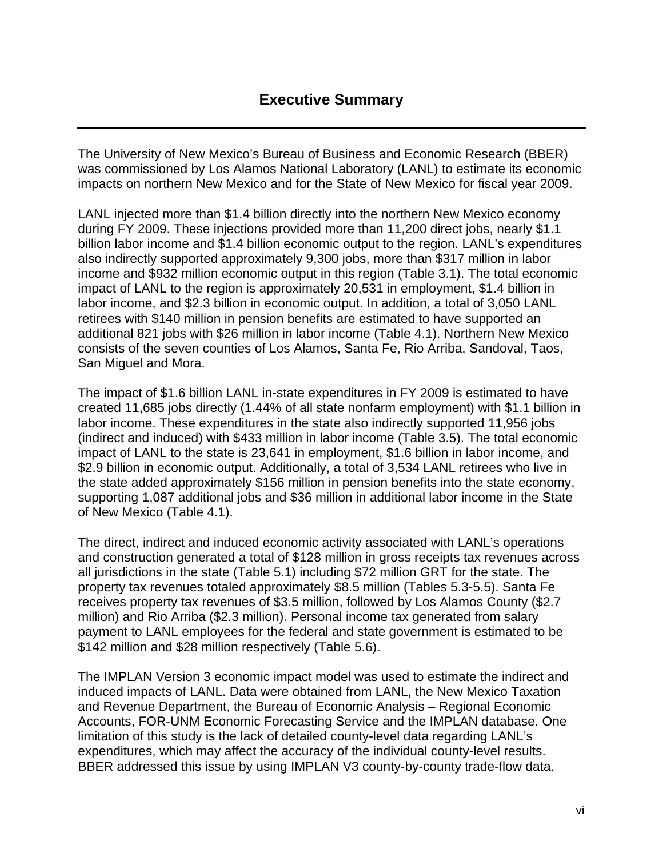The University of New Mexico's Bureau of Business and Economic Research (BBER) was commissioned by Los Alamos National Laboratory (LANL) to estimate its economic impacts on northern New Mexico and for the State of New Mexico for fiscal year 2009.

LANL injected more than \$1.4 billion directly into the northern New Mexico economy during FY 2009. These injections provided more than 11,200 direct jobs, nearly \$1.1 billion labor income and \$1.4 billion economic output to the region. LANL's expenditures also indirectly supported approximately 9,300 jobs, more than \$317 million in labor income and \$932 million economic output in this region (Table 3.1). The total economic impact of LANL to the region is approximately 20,531 in employment, \$1.4 billion in labor income, and \$2.3 billion in economic output. In addition, a total of 3,050 LANL retirees with \$140 million in pension benefits are estimated to have supported an additional 821 jobs with \$26 million in labor income (Table 4.1). Northern New Mexico consists of the seven counties of Los Alamos, Santa Fe, Rio Arriba, Sandoval, Taos, San Miguel and Mora.

The impact of \$1.6 billion LANL in-state expenditures in FY 2009 is estimated to have created 11,685 jobs directly (1.44% of all state nonfarm employment) with \$1.1 billion in labor income. These expenditures in the state also indirectly supported 11,956 jobs (indirect and induced) with \$433 million in labor income (Table 3.5). The total economic impact of LANL to the state is 23,641 in employment, \$1.6 billion in labor income, and \$2.9 billion in economic output. Additionally, a total of 3,534 LANL retirees who live in the state added approximately \$156 million in pension benefits into the state economy, supporting 1,087 additional jobs and \$36 million in additional labor income in the State of New Mexico (Table 4.1).

The direct, indirect and induced economic activity associated with LANL's operations and construction generated a total of \$128 million in gross receipts tax revenues across all jurisdictions in the state (Table 5.1) including \$72 million GRT for the state. The property tax revenues totaled approximately \$8.5 million (Tables 5.3-5.5). Santa Fe receives property tax revenues of \$3.5 million, followed by Los Alamos County (\$2.7 million) and Rio Arriba (\$2.3 million). Personal income tax generated from salary payment to LANL employees for the federal and state government is estimated to be \$142 million and \$28 million respectively (Table 5.6).

The IMPLAN Version 3 economic impact model was used to estimate the indirect and induced impacts of LANL. Data were obtained from LANL, the New Mexico Taxation and Revenue Department, the Bureau of Economic Analysis – Regional Economic Accounts, FOR-UNM Economic Forecasting Service and the IMPLAN database. One limitation of this study is the lack of detailed county-level data regarding LANL's expenditures, which may affect the accuracy of the individual county-level results. BBER addressed this issue by using IMPLAN V3 county-by-county trade-flow data.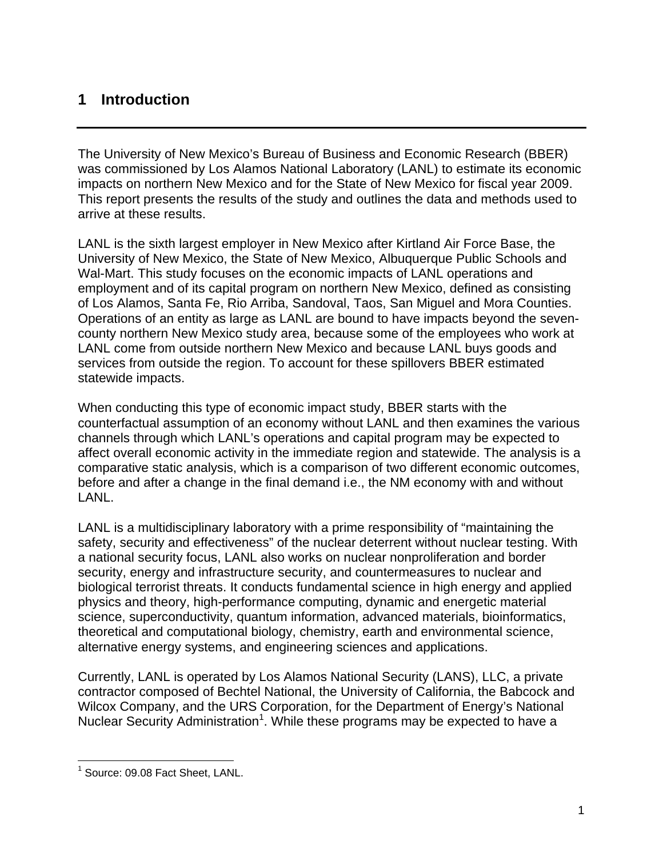# **1 Introduction**

The University of New Mexico's Bureau of Business and Economic Research (BBER) was commissioned by Los Alamos National Laboratory (LANL) to estimate its economic impacts on northern New Mexico and for the State of New Mexico for fiscal year 2009. This report presents the results of the study and outlines the data and methods used to arrive at these results.

LANL is the sixth largest employer in New Mexico after Kirtland Air Force Base, the University of New Mexico, the State of New Mexico, Albuquerque Public Schools and Wal-Mart. This study focuses on the economic impacts of LANL operations and employment and of its capital program on northern New Mexico, defined as consisting of Los Alamos, Santa Fe, Rio Arriba, Sandoval, Taos, San Miguel and Mora Counties. Operations of an entity as large as LANL are bound to have impacts beyond the sevencounty northern New Mexico study area, because some of the employees who work at LANL come from outside northern New Mexico and because LANL buys goods and services from outside the region. To account for these spillovers BBER estimated statewide impacts.

When conducting this type of economic impact study, BBER starts with the counterfactual assumption of an economy without LANL and then examines the various channels through which LANL's operations and capital program may be expected to affect overall economic activity in the immediate region and statewide. The analysis is a comparative static analysis, which is a comparison of two different economic outcomes, before and after a change in the final demand i.e., the NM economy with and without LANL.

LANL is a multidisciplinary laboratory with a prime responsibility of "maintaining the safety, security and effectiveness" of the nuclear deterrent without nuclear testing. With a national security focus, LANL also works on nuclear nonproliferation and border security, energy and infrastructure security, and countermeasures to nuclear and biological terrorist threats. It conducts fundamental science in high energy and applied physics and theory, high-performance computing, dynamic and energetic material science, superconductivity, quantum information, advanced materials, bioinformatics, theoretical and computational biology, chemistry, earth and environmental science, alternative energy systems, and engineering sciences and applications.

Currently, LANL is operated by Los Alamos National Security (LANS), LLC, a private contractor composed of Bechtel National, the University of California, the Babcock and Wilcox Company, and the URS Corporation, for the Department of Energy's National Nuclear Security Administration<sup>1</sup>. While these programs may be expected to have a

 $\overline{a}$ <sup>1</sup> Source: 09.08 Fact Sheet, LANL.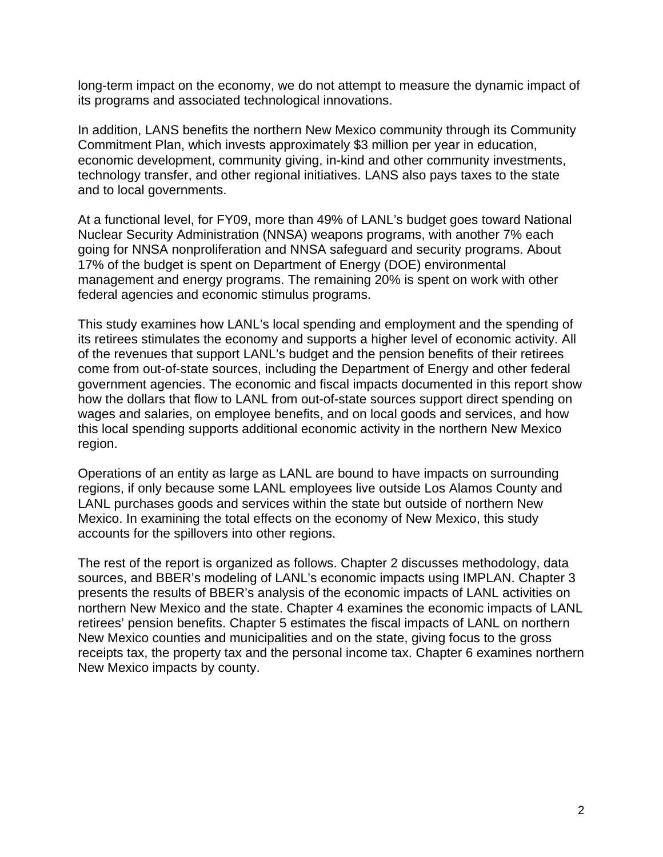long-term impact on the economy, we do not attempt to measure the dynamic impact of its programs and associated technological innovations.

In addition, LANS benefits the northern New Mexico community through its Community Commitment Plan, which invests approximately \$3 million per year in education, economic development, community giving, in-kind and other community investments, technology transfer, and other regional initiatives. LANS also pays taxes to the state and to local governments.

At a functional level, for FY09, more than 49% of LANL's budget goes toward National Nuclear Security Administration (NNSA) weapons programs, with another 7% each going for NNSA nonproliferation and NNSA safeguard and security programs. About 17% of the budget is spent on Department of Energy (DOE) environmental management and energy programs. The remaining 20% is spent on work with other federal agencies and economic stimulus programs.

This study examines how LANL's local spending and employment and the spending of its retirees stimulates the economy and supports a higher level of economic activity. All of the revenues that support LANL's budget and the pension benefits of their retirees come from out-of-state sources, including the Department of Energy and other federal government agencies. The economic and fiscal impacts documented in this report show how the dollars that flow to LANL from out-of-state sources support direct spending on wages and salaries, on employee benefits, and on local goods and services, and how this local spending supports additional economic activity in the northern New Mexico region.

Operations of an entity as large as LANL are bound to have impacts on surrounding regions, if only because some LANL employees live outside Los Alamos County and LANL purchases goods and services within the state but outside of northern New Mexico. In examining the total effects on the economy of New Mexico, this study accounts for the spillovers into other regions.

The rest of the report is organized as follows. Chapter 2 discusses methodology, data sources, and BBER's modeling of LANL's economic impacts using IMPLAN. Chapter 3 presents the results of BBER's analysis of the economic impacts of LANL activities on northern New Mexico and the state. Chapter 4 examines the economic impacts of LANL retirees' pension benefits. Chapter 5 estimates the fiscal impacts of LANL on northern New Mexico counties and municipalities and on the state, giving focus to the gross receipts tax, the property tax and the personal income tax. Chapter 6 examines northern New Mexico impacts by county.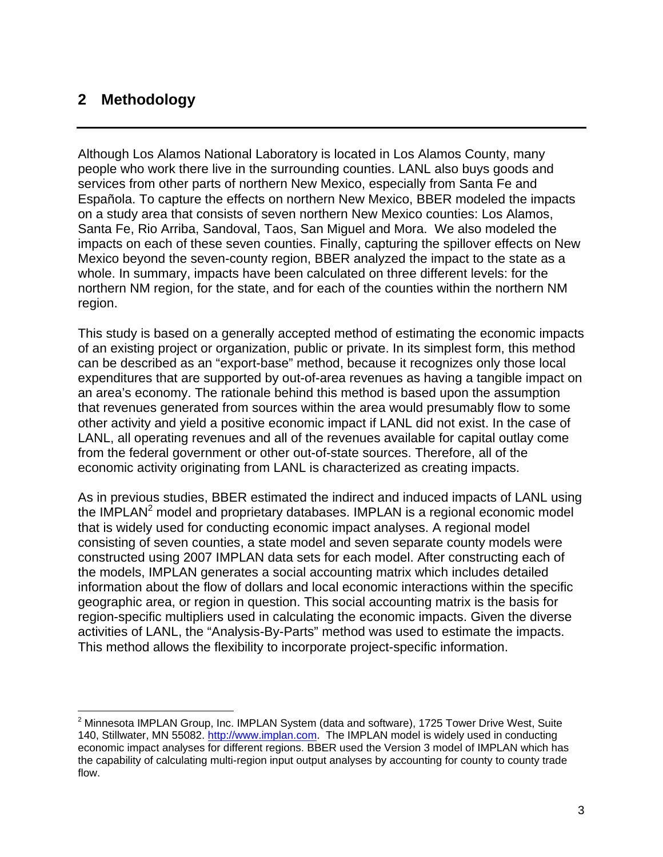# **2 Methodology**

 $\overline{a}$ 

Although Los Alamos National Laboratory is located in Los Alamos County, many people who work there live in the surrounding counties. LANL also buys goods and services from other parts of northern New Mexico, especially from Santa Fe and Española. To capture the effects on northern New Mexico, BBER modeled the impacts on a study area that consists of seven northern New Mexico counties: Los Alamos, Santa Fe, Rio Arriba, Sandoval, Taos, San Miguel and Mora. We also modeled the impacts on each of these seven counties. Finally, capturing the spillover effects on New Mexico beyond the seven-county region, BBER analyzed the impact to the state as a whole. In summary, impacts have been calculated on three different levels: for the northern NM region, for the state, and for each of the counties within the northern NM region.

This study is based on a generally accepted method of estimating the economic impacts of an existing project or organization, public or private. In its simplest form, this method can be described as an "export-base" method, because it recognizes only those local expenditures that are supported by out-of-area revenues as having a tangible impact on an area's economy. The rationale behind this method is based upon the assumption that revenues generated from sources within the area would presumably flow to some other activity and yield a positive economic impact if LANL did not exist. In the case of LANL, all operating revenues and all of the revenues available for capital outlay come from the federal government or other out-of-state sources. Therefore, all of the economic activity originating from LANL is characterized as creating impacts.

As in previous studies, BBER estimated the indirect and induced impacts of LANL using the IMPLAN<sup>2</sup> model and proprietary databases. IMPLAN is a regional economic model that is widely used for conducting economic impact analyses. A regional model consisting of seven counties, a state model and seven separate county models were constructed using 2007 IMPLAN data sets for each model. After constructing each of the models, IMPLAN generates a social accounting matrix which includes detailed information about the flow of dollars and local economic interactions within the specific geographic area, or region in question. This social accounting matrix is the basis for region-specific multipliers used in calculating the economic impacts. Given the diverse activities of LANL, the "Analysis-By-Parts" method was used to estimate the impacts. This method allows the flexibility to incorporate project-specific information.

 $2$  Minnesota IMPLAN Group, Inc. IMPLAN System (data and software), 1725 Tower Drive West, Suite 140, Stillwater, MN 55082. http://www.implan.com. The IMPLAN model is widely used in conducting economic impact analyses for different regions. BBER used the Version 3 model of IMPLAN which has the capability of calculating multi-region input output analyses by accounting for county to county trade flow.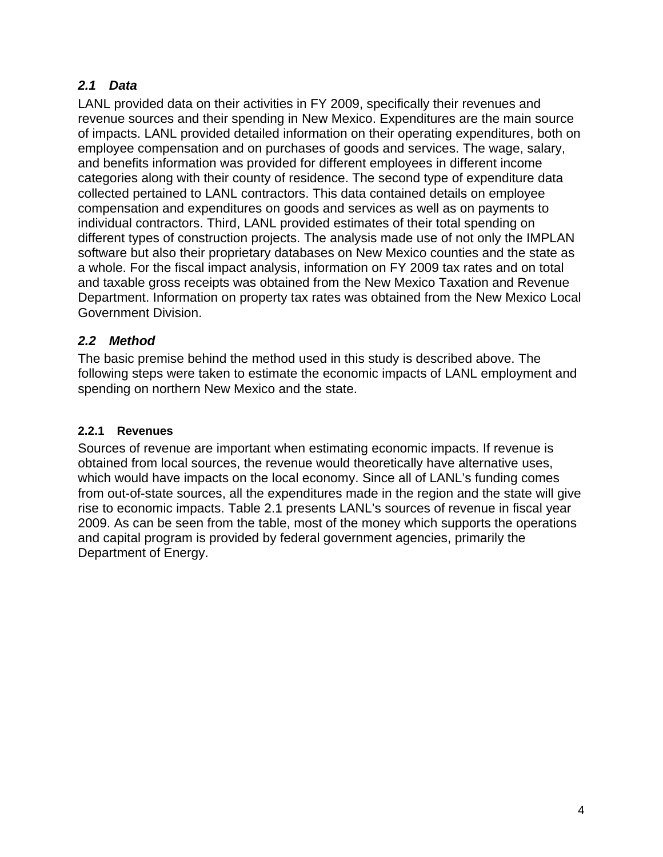## *2.1 Data*

LANL provided data on their activities in FY 2009, specifically their revenues and revenue sources and their spending in New Mexico. Expenditures are the main source of impacts. LANL provided detailed information on their operating expenditures, both on employee compensation and on purchases of goods and services. The wage, salary, and benefits information was provided for different employees in different income categories along with their county of residence. The second type of expenditure data collected pertained to LANL contractors. This data contained details on employee compensation and expenditures on goods and services as well as on payments to individual contractors. Third, LANL provided estimates of their total spending on different types of construction projects. The analysis made use of not only the IMPLAN software but also their proprietary databases on New Mexico counties and the state as a whole. For the fiscal impact analysis, information on FY 2009 tax rates and on total and taxable gross receipts was obtained from the New Mexico Taxation and Revenue Department. Information on property tax rates was obtained from the New Mexico Local Government Division.

## *2.2 Method*

The basic premise behind the method used in this study is described above. The following steps were taken to estimate the economic impacts of LANL employment and spending on northern New Mexico and the state.

#### **2.2.1 Revenues**

Sources of revenue are important when estimating economic impacts. If revenue is obtained from local sources, the revenue would theoretically have alternative uses, which would have impacts on the local economy. Since all of LANL's funding comes from out-of-state sources, all the expenditures made in the region and the state will give rise to economic impacts. Table 2.1 presents LANL's sources of revenue in fiscal year 2009. As can be seen from the table, most of the money which supports the operations and capital program is provided by federal government agencies, primarily the Department of Energy.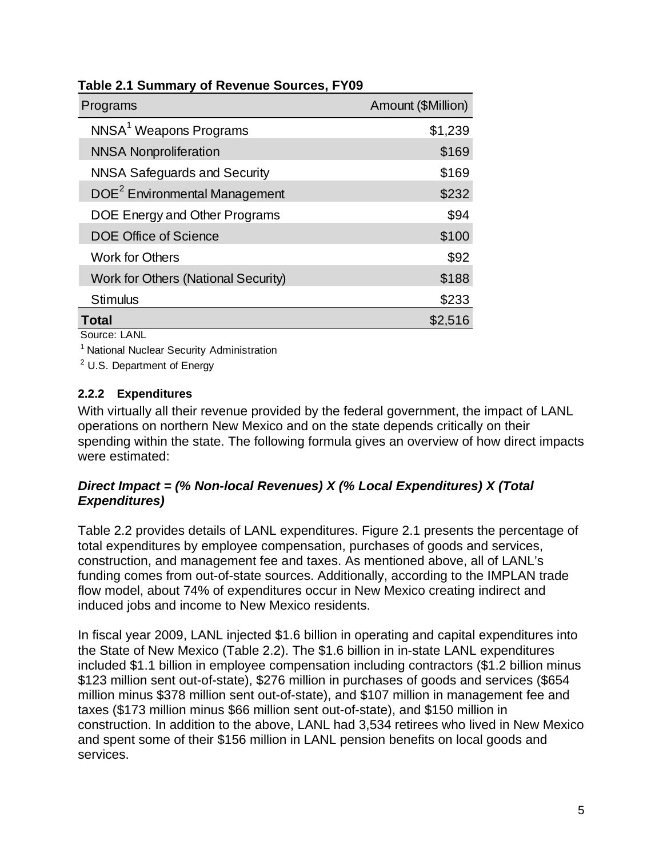| Programs                                  | Amount (\$Million) |
|-------------------------------------------|--------------------|
| NNSA <sup>1</sup> Weapons Programs        | \$1,239            |
| <b>NNSA Nonproliferation</b>              | \$169              |
| <b>NNSA Safeguards and Security</b>       | \$169              |
| DOE <sup>2</sup> Environmental Management | \$232              |
| DOE Energy and Other Programs             | \$94               |
| <b>DOE Office of Science</b>              | \$100              |
| <b>Work for Others</b>                    | \$92               |
| Work for Others (National Security)       | \$188              |
| <b>Stimulus</b>                           | \$233              |
| Total                                     | \$2,516            |
| Source: LANI                              |                    |

#### **Table 2.1 Summary of Revenue Sources, FY09**

<sup>1</sup> National Nuclear Security Administration

 $2$  U.S. Department of Energy

## **2.2.2 Expenditures**

With virtually all their revenue provided by the federal government, the impact of LANL operations on northern New Mexico and on the state depends critically on their spending within the state. The following formula gives an overview of how direct impacts were estimated:

## *Direct Impact = (% Non-local Revenues) X (% Local Expenditures) X (Total Expenditures)*

Table 2.2 provides details of LANL expenditures. Figure 2.1 presents the percentage of total expenditures by employee compensation, purchases of goods and services, construction, and management fee and taxes. As mentioned above, all of LANL's funding comes from out-of-state sources. Additionally, according to the IMPLAN trade flow model, about 74% of expenditures occur in New Mexico creating indirect and induced jobs and income to New Mexico residents.

In fiscal year 2009, LANL injected \$1.6 billion in operating and capital expenditures into the State of New Mexico (Table 2.2). The \$1.6 billion in in-state LANL expenditures included \$1.1 billion in employee compensation including contractors (\$1.2 billion minus \$123 million sent out-of-state), \$276 million in purchases of goods and services (\$654 million minus \$378 million sent out-of-state), and \$107 million in management fee and taxes (\$173 million minus \$66 million sent out-of-state), and \$150 million in construction. In addition to the above, LANL had 3,534 retirees who lived in New Mexico and spent some of their \$156 million in LANL pension benefits on local goods and services.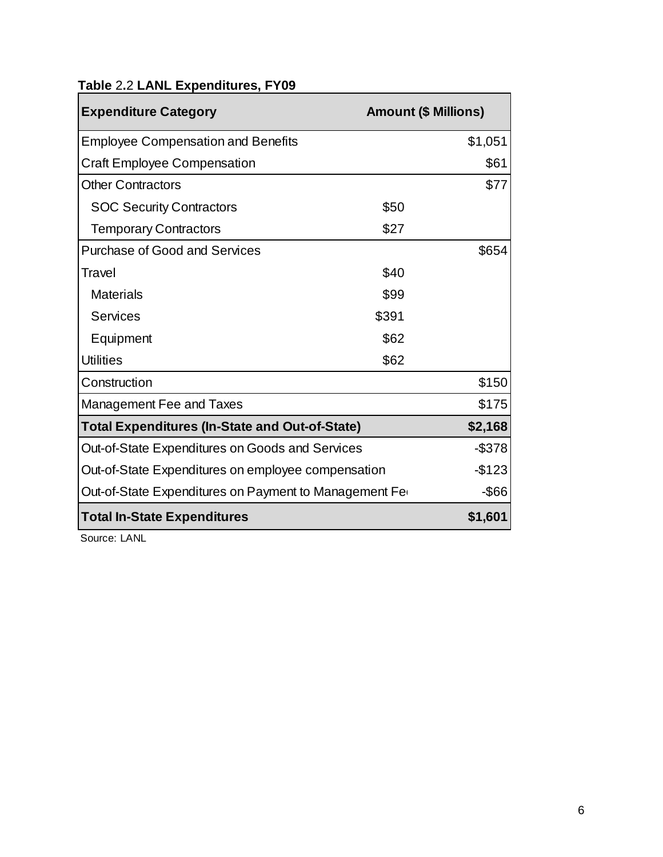| <b>Expenditure Category</b>                           | <b>Amount (\$ Millions)</b> |         |
|-------------------------------------------------------|-----------------------------|---------|
| <b>Employee Compensation and Benefits</b>             |                             | \$1,051 |
| <b>Craft Employee Compensation</b>                    |                             | \$61    |
| <b>Other Contractors</b>                              |                             | \$77    |
| <b>SOC Security Contractors</b>                       | \$50                        |         |
| <b>Temporary Contractors</b>                          | \$27                        |         |
| <b>Purchase of Good and Services</b>                  |                             | \$654   |
| Travel                                                | \$40                        |         |
| <b>Materials</b>                                      | \$99                        |         |
| <b>Services</b>                                       | \$391                       |         |
| Equipment                                             | \$62                        |         |
| <b>Utilities</b>                                      | \$62                        |         |
| Construction                                          |                             | \$150   |
| Management Fee and Taxes                              |                             | \$175   |
| <b>Total Expenditures (In-State and Out-of-State)</b> |                             | \$2,168 |
| Out-of-State Expenditures on Goods and Services       |                             | $-$378$ |
| Out-of-State Expenditures on employee compensation    |                             | $-$123$ |
| Out-of-State Expenditures on Payment to Management Fe |                             | -\$66   |
| <b>Total In-State Expenditures</b>                    |                             | \$1,601 |

# **Table** 2**.**2 **LANL Expenditures, FY09**

Source: LANL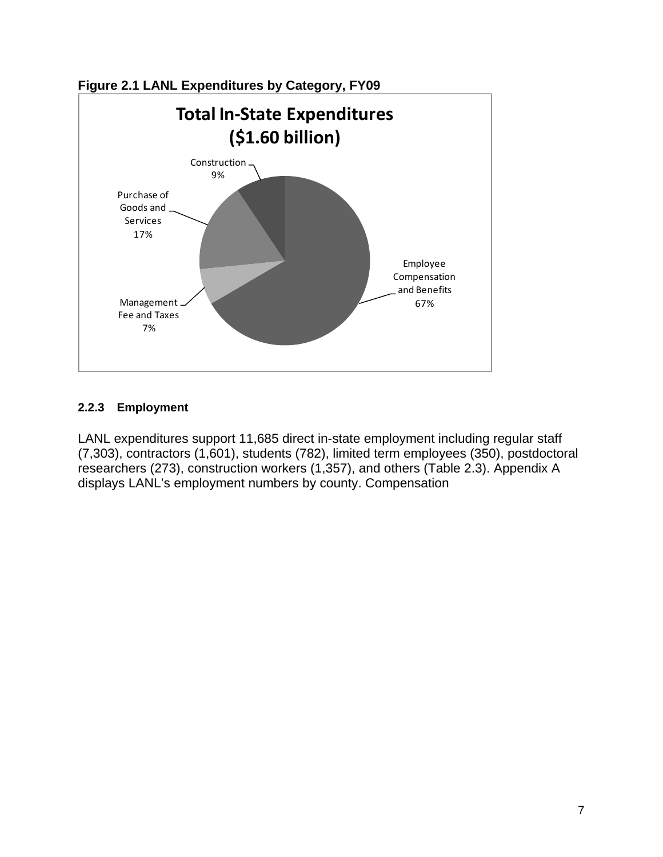

**Figure 2.1 LANL Expenditures by Category, FY09**

## **2.2.3 Employment**

LANL expenditures support 11,685 direct in-state employment including regular staff (7,303), contractors (1,601), students (782), limited term employees (350), postdoctoral researchers (273), construction workers (1,357), and others (Table 2.3). Appendix A displays LANL's employment numbers by county. Compensation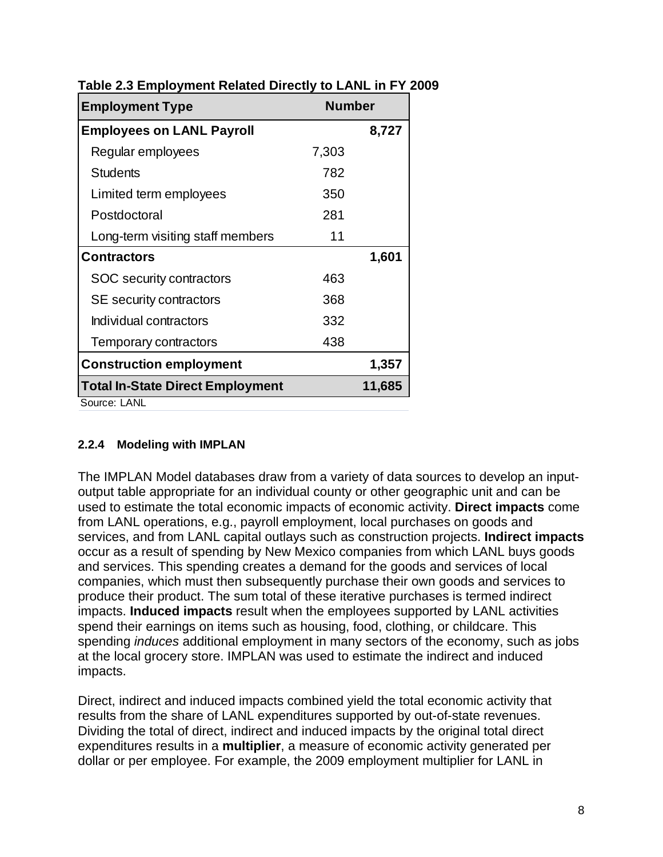| <b>Employment Type</b>           |        | <b>Number</b> |  |
|----------------------------------|--------|---------------|--|
| <b>Employees on LANL Payroll</b> |        | 8,727         |  |
| Regular employees                | 7,303  |               |  |
| <b>Students</b>                  | 782    |               |  |
| Limited term employees           | 350    |               |  |
| Postdoctoral                     | 281    |               |  |
| Long-term visiting staff members | 11     |               |  |
| <b>Contractors</b>               |        | 1,601         |  |
| SOC security contractors         | 463    |               |  |
| <b>SE</b> security contractors   | 368    |               |  |
| Individual contractors           | 332    |               |  |
| Temporary contractors            | 438    |               |  |
| <b>Construction employment</b>   |        | 1,357         |  |
| Total In-State Direct Employment | 11,685 |               |  |
| Source: LANL                     |        |               |  |

**Table 2.3 Employment Related Directly to LANL in FY 2009** 

#### **2.2.4 Modeling with IMPLAN**

The IMPLAN Model databases draw from a variety of data sources to develop an inputoutput table appropriate for an individual county or other geographic unit and can be used to estimate the total economic impacts of economic activity. **Direct impacts** come from LANL operations, e.g., payroll employment, local purchases on goods and services, and from LANL capital outlays such as construction projects. **Indirect impacts** occur as a result of spending by New Mexico companies from which LANL buys goods and services. This spending creates a demand for the goods and services of local companies, which must then subsequently purchase their own goods and services to produce their product. The sum total of these iterative purchases is termed indirect impacts. **Induced impacts** result when the employees supported by LANL activities spend their earnings on items such as housing, food, clothing, or childcare. This spending *induces* additional employment in many sectors of the economy, such as jobs at the local grocery store. IMPLAN was used to estimate the indirect and induced impacts.

Direct, indirect and induced impacts combined yield the total economic activity that results from the share of LANL expenditures supported by out-of-state revenues. Dividing the total of direct, indirect and induced impacts by the original total direct expenditures results in a **multiplier**, a measure of economic activity generated per dollar or per employee. For example, the 2009 employment multiplier for LANL in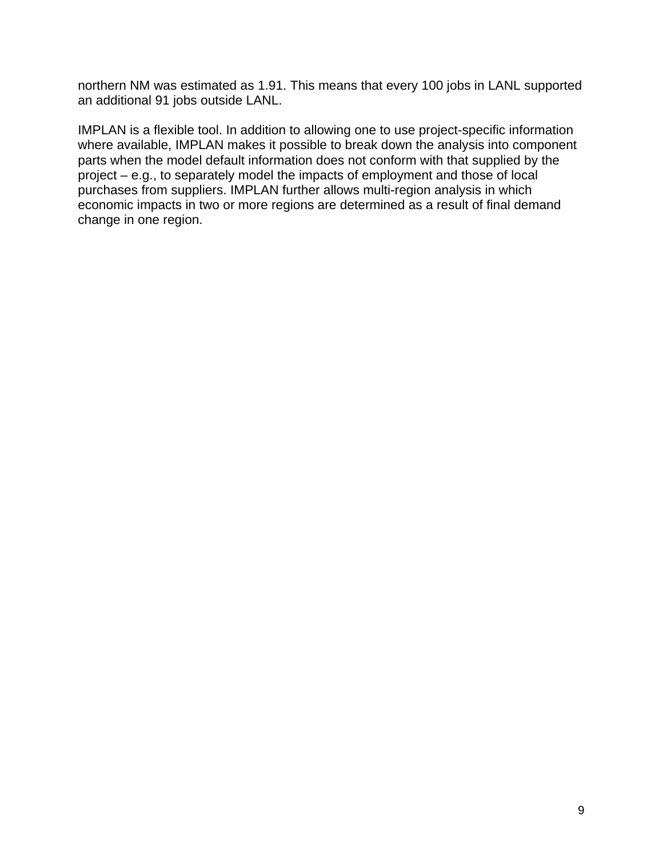northern NM was estimated as 1.91. This means that every 100 jobs in LANL supported an additional 91 jobs outside LANL.

IMPLAN is a flexible tool. In addition to allowing one to use project-specific information where available, IMPLAN makes it possible to break down the analysis into component parts when the model default information does not conform with that supplied by the project – e.g., to separately model the impacts of employment and those of local purchases from suppliers. IMPLAN further allows multi-region analysis in which economic impacts in two or more regions are determined as a result of final demand change in one region.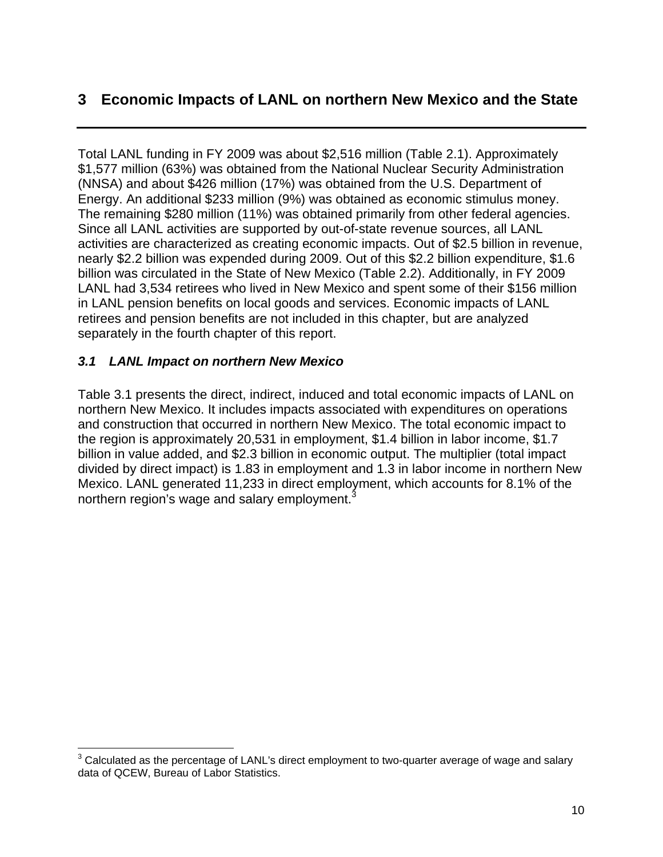# **3 Economic Impacts of LANL on northern New Mexico and the State**

Total LANL funding in FY 2009 was about \$2,516 million (Table 2.1). Approximately \$1,577 million (63%) was obtained from the National Nuclear Security Administration (NNSA) and about \$426 million (17%) was obtained from the U.S. Department of Energy. An additional \$233 million (9%) was obtained as economic stimulus money. The remaining \$280 million (11%) was obtained primarily from other federal agencies. Since all LANL activities are supported by out-of-state revenue sources, all LANL activities are characterized as creating economic impacts. Out of \$2.5 billion in revenue, nearly \$2.2 billion was expended during 2009. Out of this \$2.2 billion expenditure, \$1.6 billion was circulated in the State of New Mexico (Table 2.2). Additionally, in FY 2009 LANL had 3,534 retirees who lived in New Mexico and spent some of their \$156 million in LANL pension benefits on local goods and services. Economic impacts of LANL retirees and pension benefits are not included in this chapter, but are analyzed separately in the fourth chapter of this report.

## *3.1 LANL Impact on northern New Mexico*

Table 3.1 presents the direct, indirect, induced and total economic impacts of LANL on northern New Mexico. It includes impacts associated with expenditures on operations and construction that occurred in northern New Mexico. The total economic impact to the region is approximately 20,531 in employment, \$1.4 billion in labor income, \$1.7 billion in value added, and \$2.3 billion in economic output. The multiplier (total impact divided by direct impact) is 1.83 in employment and 1.3 in labor income in northern New Mexico. LANL generated 11,233 in direct employment, which accounts for 8.1% of the northern region's wage and salary employment. $3$ 

 3 Calculated as the percentage of LANL's direct employment to two-quarter average of wage and salary data of QCEW, Bureau of Labor Statistics.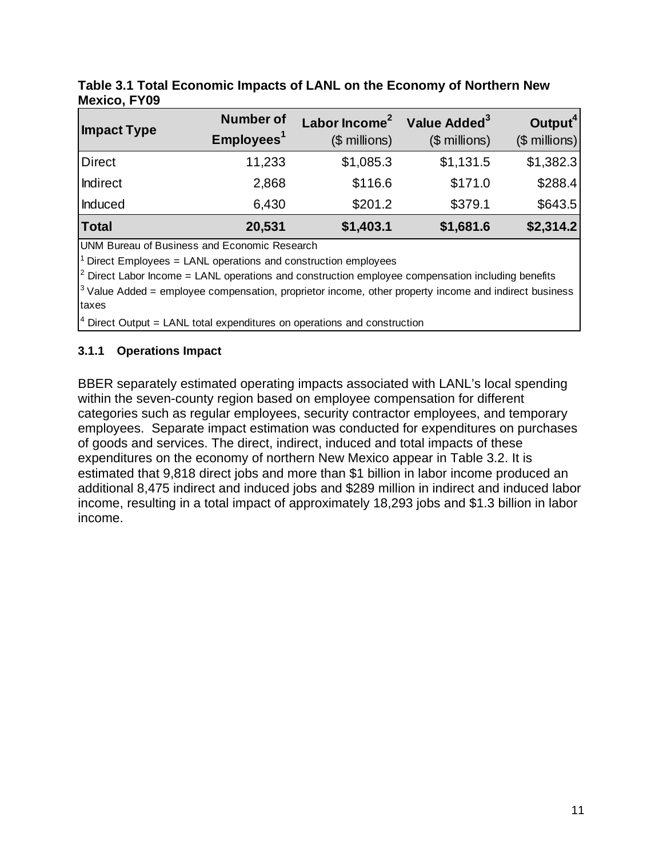| <b>Impact Type</b> | <b>Number of</b><br>Employees <sup>1</sup> | Labor Income <sup>2</sup><br>$($$ millions) | Value Added <sup>3</sup><br>$($$ millions) | Output <sup>4</sup><br>$($$ millions) |
|--------------------|--------------------------------------------|---------------------------------------------|--------------------------------------------|---------------------------------------|
| <b>Direct</b>      | 11,233                                     | \$1,085.3                                   | \$1,131.5                                  | \$1,382.3                             |
| <b>Indirect</b>    | 2,868                                      | \$116.6                                     | \$171.0                                    | \$288.4                               |
| Induced            | 6,430                                      | \$201.2                                     | \$379.1                                    | \$643.5                               |
| <b>Total</b>       | 20,531                                     | \$1,403.1                                   | \$1,681.6                                  | \$2,314.2                             |

**Table 3.1 Total Economic Impacts of LANL on the Economy of Northern New Mexico, FY09** 

<sup>1</sup> Direct Employees = LANL operations and construction employees

 $2$  Direct Labor Income = LANL operations and construction employee compensation including benefits  $3$  Value Added = employee compensation, proprietor income, other property income and indirect business taxes

 $4$  Direct Output = LANL total expenditures on operations and construction

#### **3.1.1 Operations Impact**

BBER separately estimated operating impacts associated with LANL's local spending within the seven-county region based on employee compensation for different categories such as regular employees, security contractor employees, and temporary employees. Separate impact estimation was conducted for expenditures on purchases of goods and services. The direct, indirect, induced and total impacts of these expenditures on the economy of northern New Mexico appear in Table 3.2. It is estimated that 9,818 direct jobs and more than \$1 billion in labor income produced an additional 8,475 indirect and induced jobs and \$289 million in indirect and induced labor income, resulting in a total impact of approximately 18,293 jobs and \$1.3 billion in labor income.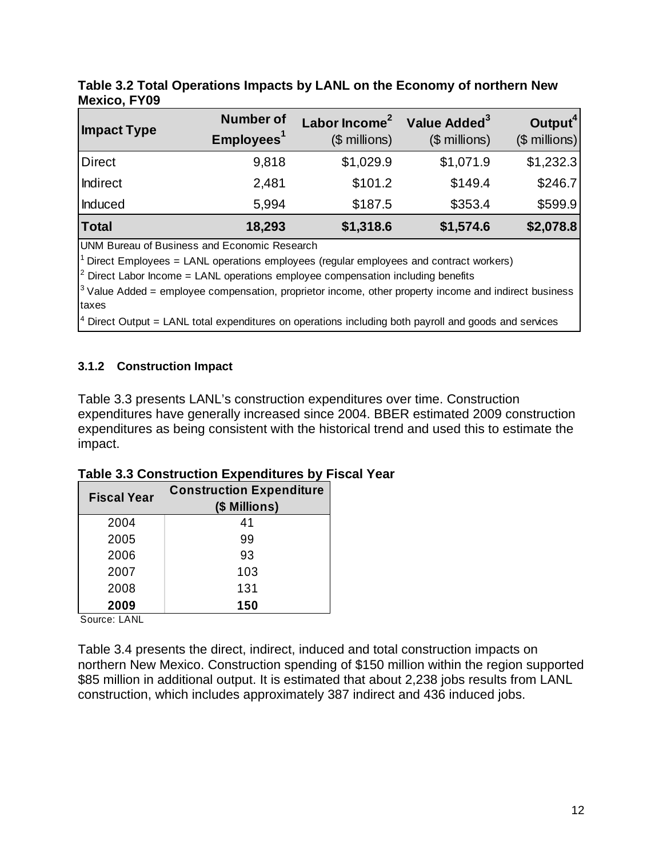| <b>Impact Type</b> | <b>Number of</b><br>Employees <sup>1</sup> | Labor Income <sup>2</sup><br>$($$ millions) | Value Added <sup>3</sup><br>$($$ millions) | Output <sup>4</sup><br>$($$ millions) |
|--------------------|--------------------------------------------|---------------------------------------------|--------------------------------------------|---------------------------------------|
| <b>Direct</b>      | 9,818                                      | \$1,029.9                                   | \$1,071.9                                  | \$1,232.3                             |
| <b>Indirect</b>    | 2,481                                      | \$101.2                                     | \$149.4                                    | \$246.7                               |
| Induced            | 5,994                                      | \$187.5                                     | \$353.4                                    | \$599.9                               |
| <b>Total</b>       | 18,293                                     | \$1,318.6                                   | \$1,574.6                                  | \$2,078.8                             |

**Table 3.2 Total Operations Impacts by LANL on the Economy of northern New Mexico, FY09** 

<sup>1</sup> Direct Employees = LANL operations employees (regular employees and contract workers)

<sup>2</sup> Direct Labor Income = LANL operations employee compensation including benefits

 $3$  Value Added = employee compensation, proprietor income, other property income and indirect business taxes

 $4$  Direct Output = LANL total expenditures on operations including both payroll and goods and services

## **3.1.2 Construction Impact**

Table 3.3 presents LANL's construction expenditures over time. Construction expenditures have generally increased since 2004. BBER estimated 2009 construction expenditures as being consistent with the historical trend and used this to estimate the impact.

| <b>Fiscal Year</b> | <b>Construction Expenditure</b><br>(\$ Millions) |
|--------------------|--------------------------------------------------|
| 2004               | 41                                               |
| 2005               | 99                                               |
| 2006               | 93                                               |
| 2007               | 103                                              |
| 2008               | 131                                              |
| 2009               | 150                                              |

Source: LANL

Table 3.4 presents the direct, indirect, induced and total construction impacts on northern New Mexico. Construction spending of \$150 million within the region supported \$85 million in additional output. It is estimated that about 2,238 jobs results from LANL construction, which includes approximately 387 indirect and 436 induced jobs.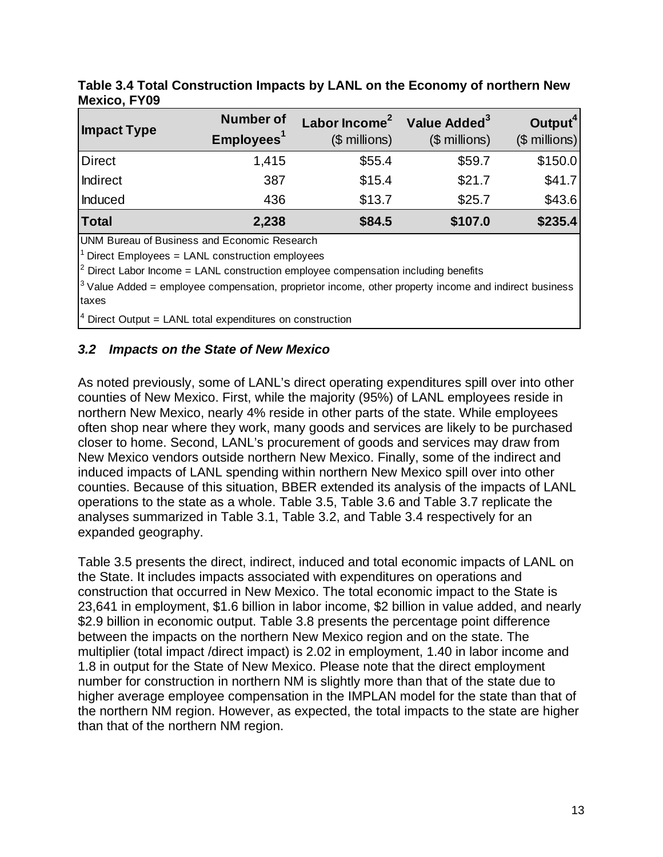| <b>Impact Type</b> | <b>Number of</b><br>Employees <sup>1</sup> | Labor Income <sup>2</sup><br>$($$ millions) | Value Added <sup>3</sup><br>$($$ millions) | Output <sup>4</sup><br>(\$ millions) |
|--------------------|--------------------------------------------|---------------------------------------------|--------------------------------------------|--------------------------------------|
| <b>Direct</b>      | 1,415                                      | \$55.4                                      | \$59.7                                     | \$150.0                              |
| <b>Indirect</b>    | 387                                        | \$15.4                                      | \$21.7                                     | \$41.7                               |
| Induced            | 436                                        | \$13.7                                      | \$25.7                                     | \$43.6                               |
| <b>Total</b>       | 2,238                                      | \$84.5                                      | \$107.0                                    | \$235.4                              |

**Table 3.4 Total Construction Impacts by LANL on the Economy of northern New Mexico, FY09** 

 $1$  Direct Employees = LANL construction employees

<sup>2</sup> Direct Labor Income = LANL construction employee compensation including benefits

 $3$  Value Added = employee compensation, proprietor income, other property income and indirect business taxes

 $4$  Direct Output = LANL total expenditures on construction

## *3.2 Impacts on the State of New Mexico*

As noted previously, some of LANL's direct operating expenditures spill over into other counties of New Mexico. First, while the majority (95%) of LANL employees reside in northern New Mexico, nearly 4% reside in other parts of the state. While employees often shop near where they work, many goods and services are likely to be purchased closer to home. Second, LANL's procurement of goods and services may draw from New Mexico vendors outside northern New Mexico. Finally, some of the indirect and induced impacts of LANL spending within northern New Mexico spill over into other counties. Because of this situation, BBER extended its analysis of the impacts of LANL operations to the state as a whole. Table 3.5, Table 3.6 and Table 3.7 replicate the analyses summarized in Table 3.1, Table 3.2, and Table 3.4 respectively for an expanded geography.

Table 3.5 presents the direct, indirect, induced and total economic impacts of LANL on the State. It includes impacts associated with expenditures on operations and construction that occurred in New Mexico. The total economic impact to the State is 23,641 in employment, \$1.6 billion in labor income, \$2 billion in value added, and nearly \$2.9 billion in economic output. Table 3.8 presents the percentage point difference between the impacts on the northern New Mexico region and on the state. The multiplier (total impact /direct impact) is 2.02 in employment, 1.40 in labor income and 1.8 in output for the State of New Mexico. Please note that the direct employment number for construction in northern NM is slightly more than that of the state due to higher average employee compensation in the IMPLAN model for the state than that of the northern NM region. However, as expected, the total impacts to the state are higher than that of the northern NM region.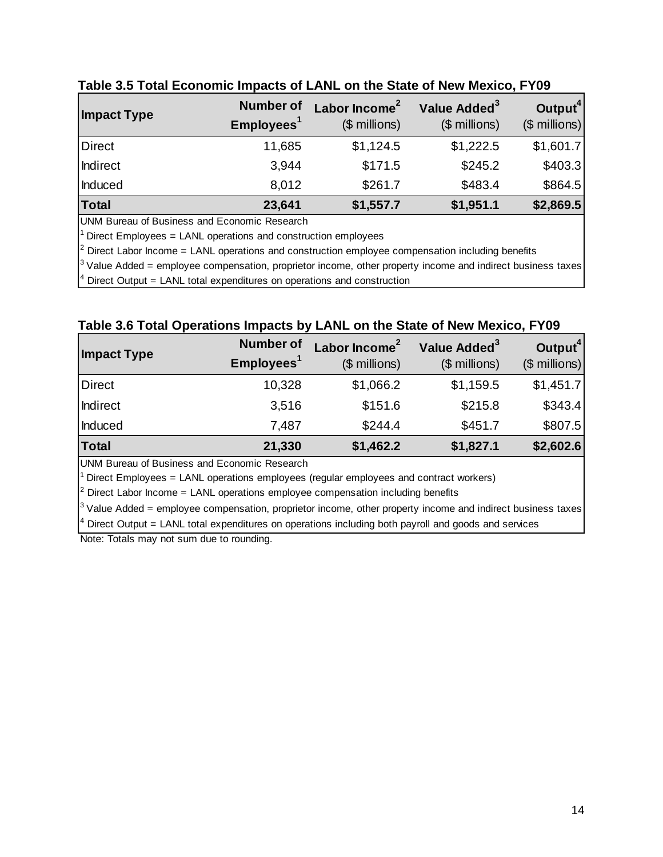| <b>Impact Type</b> | <b>Number of</b><br>Employees <sup>1</sup> | Labor Income <sup>2</sup><br>$($$ millions) | Value Added <sup>3</sup><br>$($$ millions) | Output <sup>4</sup><br>$($$ millions) |
|--------------------|--------------------------------------------|---------------------------------------------|--------------------------------------------|---------------------------------------|
| <b>Direct</b>      | 11,685                                     | \$1,124.5                                   | \$1,222.5                                  | \$1,601.7                             |
| Indirect           | 3,944                                      | \$171.5                                     | \$245.2                                    | \$403.3                               |
| Induced            | 8,012                                      | \$261.7                                     | \$483.4                                    | \$864.5                               |
| <b>Total</b><br>.  | 23,641                                     | \$1,557.7                                   | \$1,951.1                                  | \$2,869.5                             |

## **Table 3.5 Total Economic Impacts of LANL on the State of New Mexico, FY09**

UNM Bureau of Business and Economic Research

 $1$  Direct Employees = LANL operations and construction employees

 $2$  Direct Labor Income = LANL operations and construction employee compensation including benefits

 $3$  Value Added = employee compensation, proprietor income, other property income and indirect business taxes

 $4$  Direct Output = LANL total expenditures on operations and construction

#### **Table 3.6 Total Operations Impacts by LANL on the State of New Mexico, FY09**

| <b>Impact Type</b> | <b>Number of</b><br>Employees <sup>1</sup> | Labor Income <sup>2</sup><br>$($$ millions) | Value Added <sup>3</sup><br>$($$ millions) | Output <sup>4</sup><br>$($$ millions) |
|--------------------|--------------------------------------------|---------------------------------------------|--------------------------------------------|---------------------------------------|
| Direct             | 10,328                                     | \$1,066.2                                   | \$1,159.5                                  | \$1,451.7                             |
| Indirect           | 3,516                                      | \$151.6                                     | \$215.8                                    | \$343.4                               |
| Induced            | 7,487                                      | \$244.4                                     | \$451.7                                    | \$807.5                               |
| Total              | 21,330                                     | \$1,462.2                                   | \$1,827.1                                  | \$2,602.6                             |

UNM Bureau of Business and Economic Research

<sup>1</sup> Direct Employees = LANL operations employees (regular employees and contract workers)

 $<sup>2</sup>$  Direct Labor Income = LANL operations employee compensation including benefits</sup>

 $3$  Value Added = employee compensation, proprietor income, other property income and indirect business taxes

 $4$  Direct Output = LANL total expenditures on operations including both payroll and goods and services

Note: Totals may not sum due to rounding.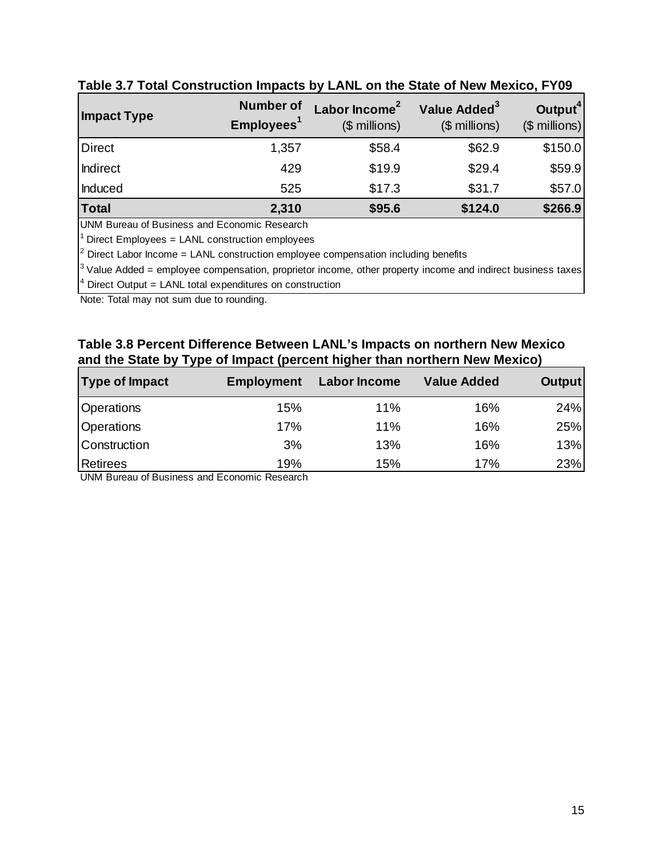| Impact Type | <b>Number of</b><br>Employees <sup>1</sup> | Labor Income <sup>2</sup><br>$($$ millions) | Value Added <sup>3</sup><br>$($$ millions) | Output <sup>4</sup><br>(\$ millions) |
|-------------|--------------------------------------------|---------------------------------------------|--------------------------------------------|--------------------------------------|
| Direct      | 1,357                                      | \$58.4                                      | \$62.9                                     | \$150.0                              |
| Indirect    | 429                                        | \$19.9                                      | \$29.4                                     | \$59.9                               |
| Induced     | 525                                        | \$17.3                                      | \$31.7                                     | \$57.0                               |
| Total       | 2,310                                      | \$95.6                                      | \$124.0                                    | \$266.9                              |

### **Table 3.7 Total Construction Impacts by LANL on the State of New Mexico, FY09**

UNM Bureau of Business and Economic Research

 $1$  Direct Employees = LANL construction employees

 $2$  Direct Labor Income = LANL construction employee compensation including benefits

 $3$  Value Added = employee compensation, proprietor income, other property income and indirect business taxes

 $4$  Direct Output = LANL total expenditures on construction

Note: Total may not sum due to rounding.

#### **Table 3.8 Percent Difference Between LANL's Impacts on northern New Mexico and the State by Type of Impact (percent higher than northern New Mexico)**

| <b>Type of Impact</b> | <b>Employment</b> | Labor Income | <b>Value Added</b> | <b>Output</b> |
|-----------------------|-------------------|--------------|--------------------|---------------|
| Operations            | 15%               | 11%          | 16%                | 24%           |
| Operations            | 17%               | 11%          | 16%                | 25%           |
| <b>Construction</b>   | 3%                | 13%          | 16%                | 13%           |
| Retirees              | 19%               | 15%          | 17%                | 23%           |

UNM Bureau of Business and Economic Research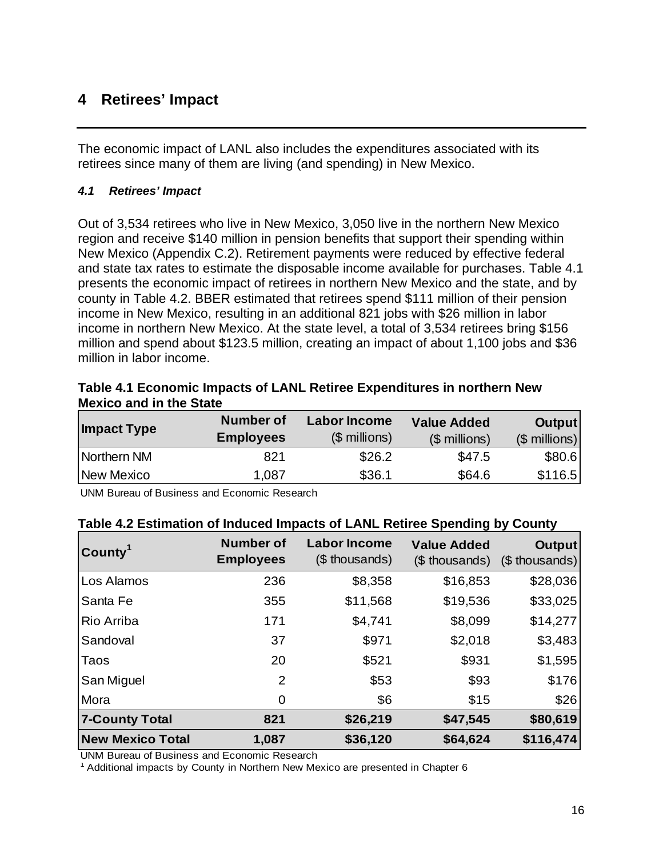# **4 Retirees' Impact**

The economic impact of LANL also includes the expenditures associated with its retirees since many of them are living (and spending) in New Mexico.

#### *4.1 Retirees' Impact*

Out of 3,534 retirees who live in New Mexico, 3,050 live in the northern New Mexico region and receive \$140 million in pension benefits that support their spending within New Mexico (Appendix C.2). Retirement payments were reduced by effective federal and state tax rates to estimate the disposable income available for purchases. Table 4.1 presents the economic impact of retirees in northern New Mexico and the state, and by county in Table 4.2. BBER estimated that retirees spend \$111 million of their pension income in New Mexico, resulting in an additional 821 jobs with \$26 million in labor income in northern New Mexico. At the state level, a total of 3,534 retirees bring \$156 million and spend about \$123.5 million, creating an impact of about 1,100 jobs and \$36 million in labor income.

| Table 4.1 Economic Impacts of LANL Retiree Expenditures in northern New |  |
|-------------------------------------------------------------------------|--|
| <b>Mexico and in the State</b>                                          |  |

| Impact Type | <b>Number of</b><br><b>Employees</b> | <b>Labor Income</b><br>$$$ millions) | <b>Value Added</b><br>$$$ millions) | <b>Output</b><br>$($$ millions) |
|-------------|--------------------------------------|--------------------------------------|-------------------------------------|---------------------------------|
| Northern NM | 821                                  | \$26.2                               | \$47.5                              | \$80.6                          |
| New Mexico  | 1.087                                | \$36.1                               | \$64.6                              | \$116.5                         |

UNM Bureau of Business and Economic Research

| County <sup>1</sup>     | <b>Number of</b><br><b>Employees</b> | <b>Labor Income</b><br>(\$ thousands) | <b>Value Added</b><br>(\$ thousands) | <b>Output</b><br>(\$ thousands) |
|-------------------------|--------------------------------------|---------------------------------------|--------------------------------------|---------------------------------|
| Los Alamos              | 236                                  | \$8,358                               | \$16,853                             | \$28,036                        |
| Santa Fe                | 355                                  | \$11,568                              | \$19,536                             | \$33,025                        |
| Rio Arriba              | 171                                  | \$4,741                               | \$8,099                              | \$14,277                        |
| Sandoval                | 37                                   | \$971                                 | \$2,018                              | \$3,483                         |
| Taos                    | 20                                   | \$521                                 | \$931                                | \$1,595                         |
| San Miguel              | $\overline{2}$                       | \$53                                  | \$93                                 | \$176                           |
| Mora                    | 0                                    | \$6                                   | \$15                                 | \$26                            |
| <b>7-County Total</b>   | 821                                  | \$26,219                              | \$47,545                             | \$80,619                        |
| <b>New Mexico Total</b> | 1,087                                | \$36,120                              | \$64,624                             | \$116,474                       |

#### **Table 4.2 Estimation of Induced Impacts of LANL Retiree Spending by County**

UNM Bureau of Business and Economic Research

<sup>1</sup> Additional impacts by County in Northern New Mexico are presented in Chapter 6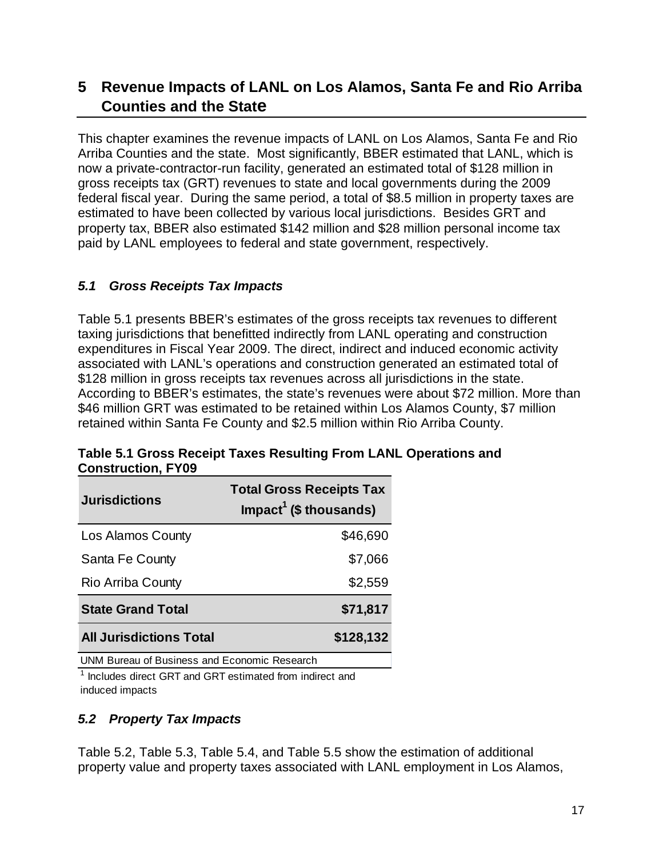# **5 Revenue Impacts of LANL on Los Alamos, Santa Fe and Rio Arriba Counties and the State**

This chapter examines the revenue impacts of LANL on Los Alamos, Santa Fe and Rio Arriba Counties and the state. Most significantly, BBER estimated that LANL, which is now a private-contractor-run facility, generated an estimated total of \$128 million in gross receipts tax (GRT) revenues to state and local governments during the 2009 federal fiscal year. During the same period, a total of \$8.5 million in property taxes are estimated to have been collected by various local jurisdictions. Besides GRT and property tax, BBER also estimated \$142 million and \$28 million personal income tax paid by LANL employees to federal and state government, respectively.

## *5.1 Gross Receipts Tax Impacts*

Table 5.1 presents BBER's estimates of the gross receipts tax revenues to different taxing jurisdictions that benefitted indirectly from LANL operating and construction expenditures in Fiscal Year 2009. The direct, indirect and induced economic activity associated with LANL's operations and construction generated an estimated total of \$128 million in gross receipts tax revenues across all jurisdictions in the state. According to BBER's estimates, the state's revenues were about \$72 million. More than \$46 million GRT was estimated to be retained within Los Alamos County, \$7 million retained within Santa Fe County and \$2.5 million within Rio Arriba County.

| <b>Jurisdictions</b>                         | <b>Total Gross Receipts Tax</b><br>Impact <sup>1</sup> (\$ thousands) |
|----------------------------------------------|-----------------------------------------------------------------------|
| Los Alamos County                            | \$46,690                                                              |
| Santa Fe County                              | \$7,066                                                               |
| <b>Rio Arriba County</b>                     | \$2,559                                                               |
| <b>State Grand Total</b>                     | \$71,817                                                              |
| <b>All Jurisdictions Total</b>               | \$128,132                                                             |
| UNM Bureau of Business and Economic Research |                                                                       |

**Table 5.1 Gross Receipt Taxes Resulting From LANL Operations and Construction, FY09** 

<sup>1</sup> Includes direct GRT and GRT estimated from indirect and induced impacts

## *5.2 Property Tax Impacts*

Table 5.2, Table 5.3, Table 5.4, and Table 5.5 show the estimation of additional property value and property taxes associated with LANL employment in Los Alamos,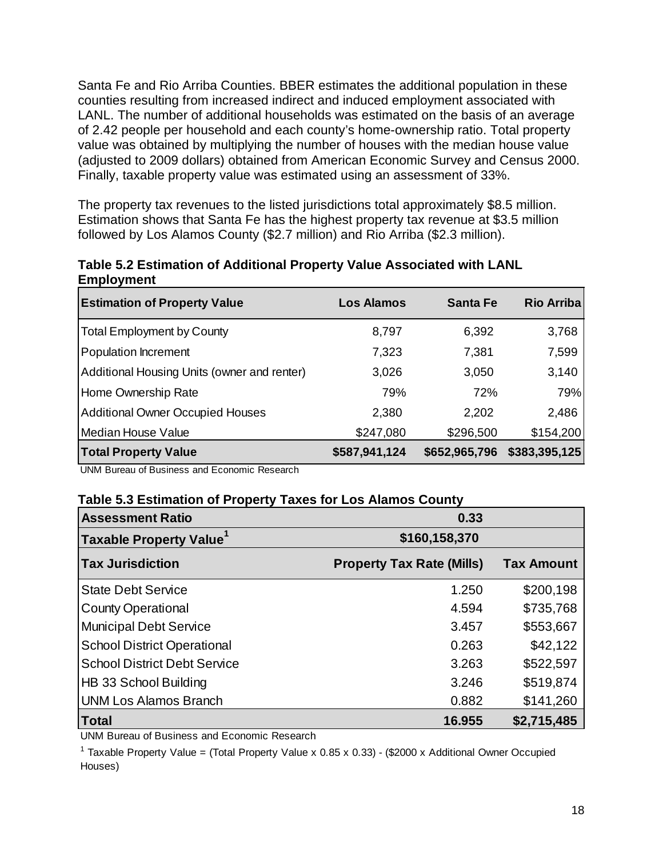Santa Fe and Rio Arriba Counties. BBER estimates the additional population in these counties resulting from increased indirect and induced employment associated with LANL. The number of additional households was estimated on the basis of an average of 2.42 people per household and each county's home-ownership ratio. Total property value was obtained by multiplying the number of houses with the median house value (adjusted to 2009 dollars) obtained from American Economic Survey and Census 2000. Finally, taxable property value was estimated using an assessment of 33%.

The property tax revenues to the listed jurisdictions total approximately \$8.5 million. Estimation shows that Santa Fe has the highest property tax revenue at \$3.5 million followed by Los Alamos County (\$2.7 million) and Rio Arriba (\$2.3 million).

**Table 5.2 Estimation of Additional Property Value Associated with LANL Employment** 

| <b>Estimation of Property Value</b>         | <b>Los Alamos</b> | <b>Santa Fe</b> | Rio Arriba    |
|---------------------------------------------|-------------------|-----------------|---------------|
| Total Employment by County                  | 8,797             | 6,392           | 3,768         |
| Population Increment                        | 7,323             | 7,381           | 7,599         |
| Additional Housing Units (owner and renter) | 3,026             | 3,050           | 3,140         |
| Home Ownership Rate                         | 79%               | 72%             | 79%           |
| <b>Additional Owner Occupied Houses</b>     | 2,380             | 2,202           | 2,486         |
| Median House Value                          | \$247,080         | \$296,500       | \$154,200     |
| <b>Total Property Value</b>                 | \$587,941,124     | \$652,965,796   | \$383,395,125 |

UNM Bureau of Business and Economic Research

#### **Table 5.3 Estimation of Property Taxes for Los Alamos County**

| <b>Assessment Ratio</b>             | 0.33                             |                   |
|-------------------------------------|----------------------------------|-------------------|
| Taxable Property Value <sup>1</sup> | \$160,158,370                    |                   |
| <b>Tax Jurisdiction</b>             | <b>Property Tax Rate (Mills)</b> | <b>Tax Amount</b> |
| <b>State Debt Service</b>           | 1.250                            | \$200,198         |
| <b>County Operational</b>           | 4.594                            | \$735,768         |
| <b>Municipal Debt Service</b>       | 3.457                            | \$553,667         |
| <b>School District Operational</b>  | 0.263                            | \$42,122          |
| <b>School District Debt Service</b> | 3.263                            | \$522,597         |
| HB 33 School Building               | 3.246                            | \$519,874         |
| <b>UNM Los Alamos Branch</b>        | 0.882                            | \$141,260         |
| Total                               | 16.955                           | \$2,715,485       |

UNM Bureau of Business and Economic Research

<sup>1</sup> Taxable Property Value = (Total Property Value x 0.85 x 0.33) - (\$2000 x Additional Owner Occupied Houses)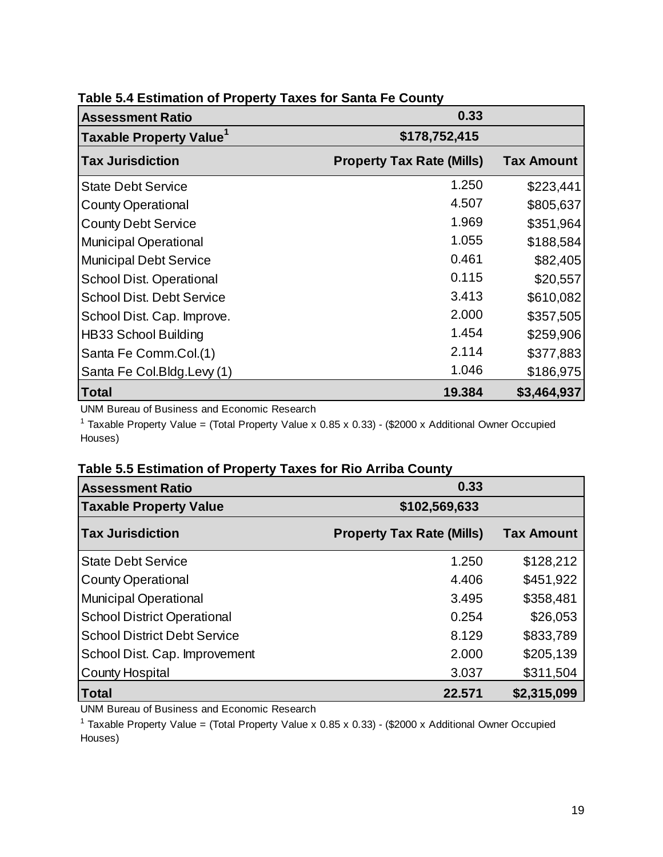| <b>Assessment Ratio</b>          | 0.33                             |                   |
|----------------------------------|----------------------------------|-------------------|
| <b>Taxable Property Value</b>    | \$178,752,415                    |                   |
| <b>Tax Jurisdiction</b>          | <b>Property Tax Rate (Mills)</b> | <b>Tax Amount</b> |
| <b>State Debt Service</b>        | 1.250                            | \$223,441         |
| <b>County Operational</b>        | 4.507                            | \$805,637         |
| <b>County Debt Service</b>       | 1.969                            | \$351,964         |
| <b>Municipal Operational</b>     | 1.055                            | \$188,584         |
| <b>Municipal Debt Service</b>    | 0.461                            | \$82,405          |
| <b>School Dist. Operational</b>  | 0.115                            | \$20,557          |
| <b>School Dist. Debt Service</b> | 3.413                            | \$610,082         |
| School Dist. Cap. Improve.       | 2.000                            | \$357,505         |
| <b>HB33 School Building</b>      | 1.454                            | \$259,906         |
| Santa Fe Comm.Col.(1)            | 2.114                            | \$377,883         |
| Santa Fe Col.Bldg.Levy (1)       | 1.046                            | \$186,975         |
| Total                            | 19.384                           | \$3,464,937       |

## **Table 5.4 Estimation of Property Taxes for Santa Fe County**

UNM Bureau of Business and Economic Research

<sup>1</sup> Taxable Property Value = (Total Property Value x 0.85 x 0.33) - (\$2000 x Additional Owner Occupied Houses)

## **Table 5.5 Estimation of Property Taxes for Rio Arriba County**

| <b>Assessment Ratio</b>             | 0.33                             |                   |
|-------------------------------------|----------------------------------|-------------------|
| <b>Taxable Property Value</b>       | \$102,569,633                    |                   |
| <b>Tax Jurisdiction</b>             | <b>Property Tax Rate (Mills)</b> | <b>Tax Amount</b> |
| <b>State Debt Service</b>           | 1.250                            | \$128,212         |
| <b>County Operational</b>           | 4.406                            | \$451,922         |
| <b>Municipal Operational</b>        | 3.495                            | \$358,481         |
| <b>School District Operational</b>  | 0.254                            | \$26,053          |
| <b>School District Debt Service</b> | 8.129                            | \$833,789         |
| School Dist. Cap. Improvement       | 2.000                            | \$205,139         |
| <b>County Hospital</b>              | 3.037                            | \$311,504         |
| <b>Total</b>                        | 22.571                           | \$2,315,099       |

UNM Bureau of Business and Economic Research

<sup>1</sup> Taxable Property Value = (Total Property Value x 0.85 x 0.33) - (\$2000 x Additional Owner Occupied Houses)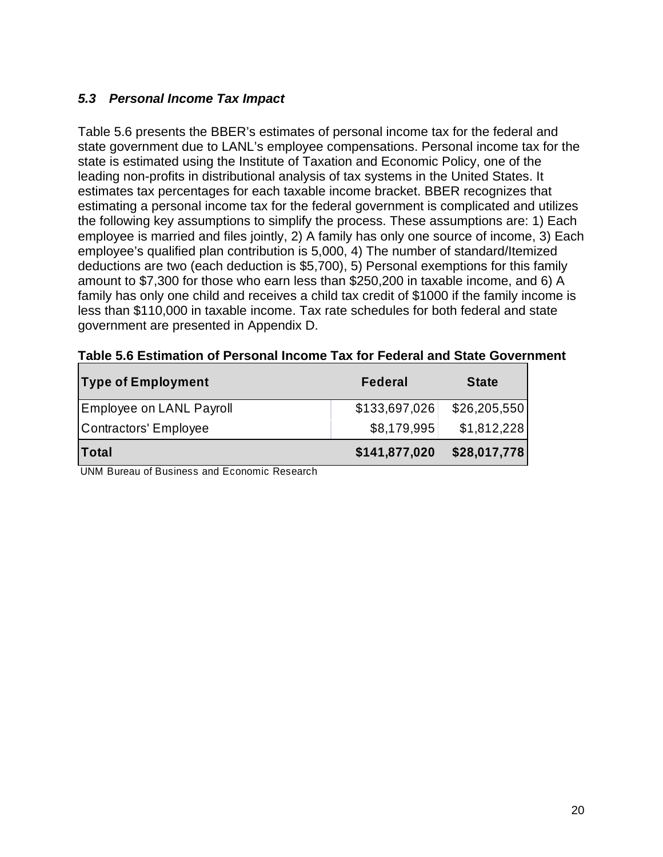## *5.3 Personal Income Tax Impact*

Table 5.6 presents the BBER's estimates of personal income tax for the federal and state government due to LANL's employee compensations. Personal income tax for the state is estimated using the Institute of Taxation and Economic Policy, one of the leading non-profits in distributional analysis of tax systems in the United States. It estimates tax percentages for each taxable income bracket. BBER recognizes that estimating a personal income tax for the federal government is complicated and utilizes the following key assumptions to simplify the process. These assumptions are: 1) Each employee is married and files jointly, 2) A family has only one source of income, 3) Each employee's qualified plan contribution is 5,000, 4) The number of standard/Itemized deductions are two (each deduction is \$5,700), 5) Personal exemptions for this family amount to \$7,300 for those who earn less than \$250,200 in taxable income, and 6) A family has only one child and receives a child tax credit of \$1000 if the family income is less than \$110,000 in taxable income. Tax rate schedules for both federal and state government are presented in Appendix D.

| <b>Type of Employment</b> | <b>Federal</b> | <b>State</b> |
|---------------------------|----------------|--------------|
| Employee on LANL Payroll  | \$133,697,026  | \$26,205,550 |
| Contractors' Employee     | \$8,179,995    | \$1,812,228  |
| <b>Total</b>              | \$141,877,020  | \$28,017,778 |

#### **Table 5.6 Estimation of Personal Income Tax for Federal and State Government**

UNM Bureau of Business and Economic Research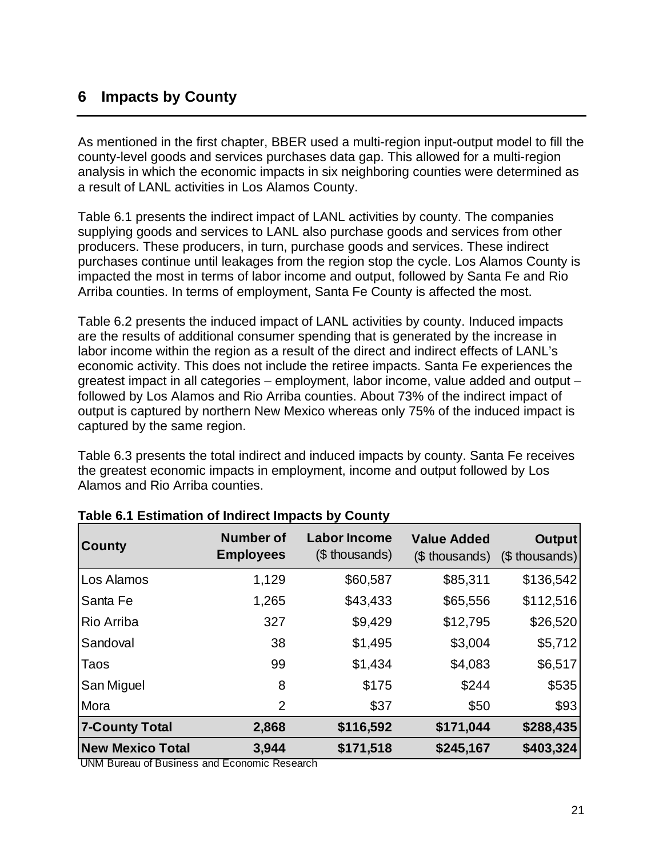# **6 Impacts by County**

As mentioned in the first chapter, BBER used a multi-region input-output model to fill the county-level goods and services purchases data gap. This allowed for a multi-region analysis in which the economic impacts in six neighboring counties were determined as a result of LANL activities in Los Alamos County.

Table 6.1 presents the indirect impact of LANL activities by county. The companies supplying goods and services to LANL also purchase goods and services from other producers. These producers, in turn, purchase goods and services. These indirect purchases continue until leakages from the region stop the cycle. Los Alamos County is impacted the most in terms of labor income and output, followed by Santa Fe and Rio Arriba counties. In terms of employment, Santa Fe County is affected the most.

Table 6.2 presents the induced impact of LANL activities by county. Induced impacts are the results of additional consumer spending that is generated by the increase in labor income within the region as a result of the direct and indirect effects of LANL's economic activity. This does not include the retiree impacts. Santa Fe experiences the greatest impact in all categories – employment, labor income, value added and output – followed by Los Alamos and Rio Arriba counties. About 73% of the indirect impact of output is captured by northern New Mexico whereas only 75% of the induced impact is captured by the same region.

Table 6.3 presents the total indirect and induced impacts by county. Santa Fe receives the greatest economic impacts in employment, income and output followed by Los Alamos and Rio Arriba counties.

| <b>County</b>           | <b>Number of</b><br><b>Employees</b> | <b>Labor Income</b><br>(\$ thousands) | <b>Value Added</b><br>(\$ thousands) | <b>Output</b><br>(\$ thousands) |
|-------------------------|--------------------------------------|---------------------------------------|--------------------------------------|---------------------------------|
| Los Alamos              | 1,129                                | \$60,587                              | \$85,311                             | \$136,542                       |
| Santa Fe                | 1,265                                | \$43,433                              | \$65,556                             | \$112,516                       |
| Rio Arriba              | 327                                  | \$9,429                               | \$12,795                             | \$26,520                        |
| Sandoval                | 38                                   | \$1,495                               | \$3,004                              | \$5,712                         |
| Taos                    | 99                                   | \$1,434                               | \$4,083                              | \$6,517                         |
| San Miguel              | 8                                    | \$175                                 | \$244                                | \$535                           |
| Mora                    | $\overline{2}$                       | \$37                                  | \$50                                 | \$93                            |
| <b>7-County Total</b>   | 2,868                                | \$116,592                             | \$171,044                            | \$288,435                       |
| <b>New Mexico Total</b> | 3,944                                | \$171,518                             | \$245,167                            | \$403,324                       |

#### **Table 6.1 Estimation of Indirect Impacts by County**

UNM Bureau of Business and Economic Research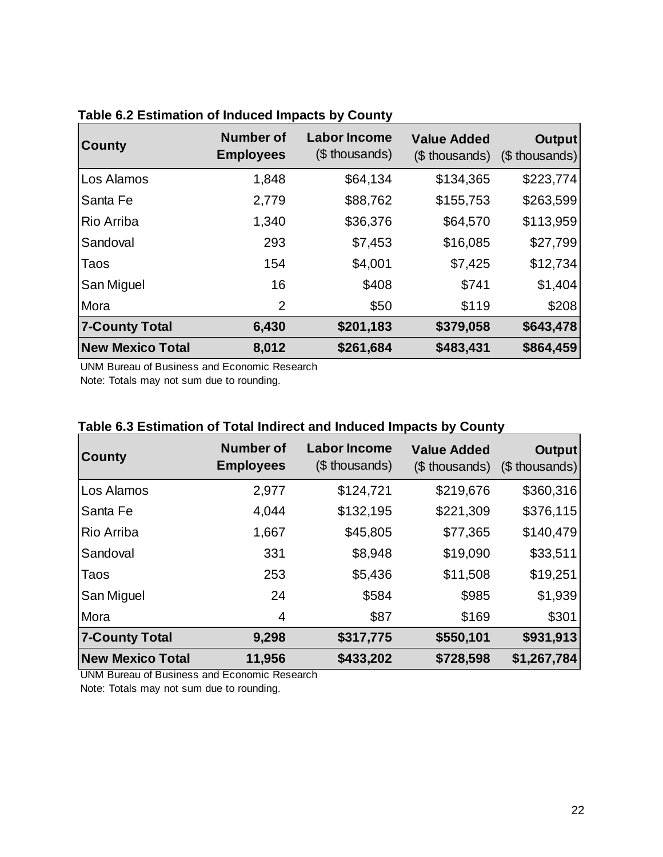| <b>County</b>           | <b>Number of</b><br><b>Employees</b> | <b>Labor Income</b><br>(\$ thousands) | <b>Value Added</b><br>(\$ thousands) | <b>Output</b><br>(\$ thousands) |
|-------------------------|--------------------------------------|---------------------------------------|--------------------------------------|---------------------------------|
| Los Alamos              | 1,848                                | \$64,134                              | \$134,365                            | \$223,774                       |
| Santa Fe                | 2,779                                | \$88,762                              | \$155,753                            | \$263,599                       |
| Rio Arriba              | 1,340                                | \$36,376                              | \$64,570                             | \$113,959                       |
| Sandoval                | 293                                  | \$7,453                               | \$16,085                             | \$27,799                        |
| Taos                    | 154                                  | \$4,001                               | \$7,425                              | \$12,734                        |
| San Miguel              | 16                                   | \$408                                 | \$741                                | \$1,404                         |
| Mora                    | 2                                    | \$50                                  | \$119                                | \$208                           |
| <b>7-County Total</b>   | 6,430                                | \$201,183                             | \$379,058                            | \$643,478                       |
| <b>New Mexico Total</b> | 8,012                                | \$261,684                             | \$483,431                            | \$864,459                       |

**Table 6.2 Estimation of Induced Impacts by County** 

Note: Totals may not sum due to rounding.

| <b>County</b>           | <b>Number of</b><br><b>Employees</b> | <b>Labor Income</b><br>(\$ thousands) | <b>Value Added</b><br>(\$ thousands) | <b>Output</b><br>$($$ thousands) |
|-------------------------|--------------------------------------|---------------------------------------|--------------------------------------|----------------------------------|
| Los Alamos              | 2,977                                | \$124,721                             | \$219,676                            | \$360,316                        |
| Santa Fe                | 4,044                                | \$132,195                             | \$221,309                            | \$376,115                        |
| Rio Arriba              | 1,667                                | \$45,805                              | \$77,365                             | \$140,479                        |
| Sandoval                | 331                                  | \$8,948                               | \$19,090                             | \$33,511                         |
| Taos                    | 253                                  | \$5,436                               | \$11,508                             | \$19,251                         |
| San Miguel              | 24                                   | \$584                                 | \$985                                | \$1,939                          |
| Mora                    | 4                                    | \$87                                  | \$169                                | \$301                            |
| <b>7-County Total</b>   | 9,298                                | \$317,775                             | \$550,101                            | \$931,913                        |
| <b>New Mexico Total</b> | 11,956                               | \$433,202                             | \$728,598                            | \$1,267,784                      |

# **Table 6.3 Estimation of Total Indirect and Induced Impacts by County**

UNM Bureau of Business and Economic Research

Note: Totals may not sum due to rounding.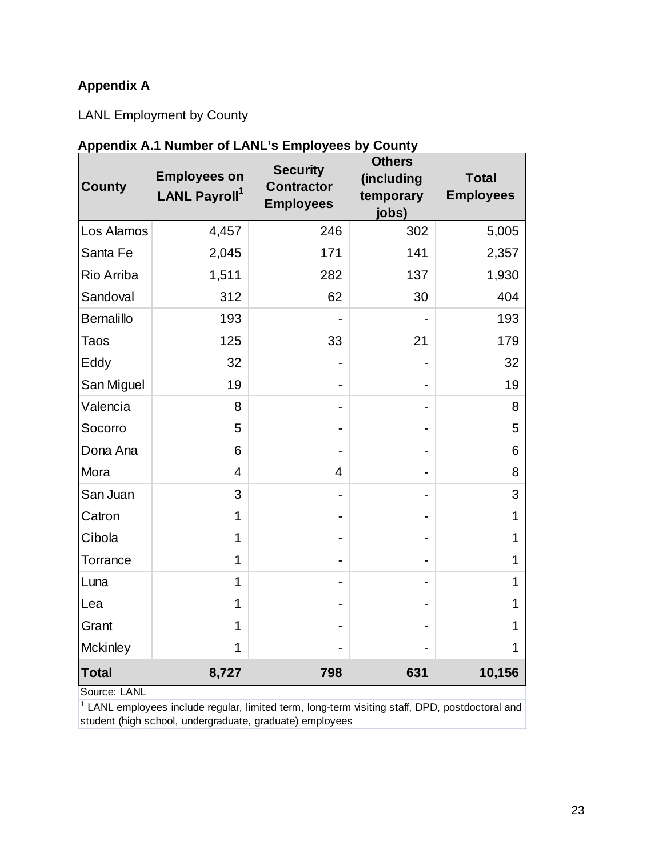# **Appendix A**

LANL Employment by County

| <b>County</b>     | <b>Employees on</b><br><b>LANL Payroll</b>                                                             | <b>Security</b><br><b>Contractor</b><br><b>Employees</b> | <b>Others</b><br>(including<br>temporary<br>jobs) | <b>Total</b><br><b>Employees</b> |  |
|-------------------|--------------------------------------------------------------------------------------------------------|----------------------------------------------------------|---------------------------------------------------|----------------------------------|--|
| Los Alamos        | 4,457                                                                                                  | 246                                                      | 302                                               | 5,005                            |  |
| Santa Fe          | 2,045                                                                                                  | 171                                                      | 141                                               | 2,357                            |  |
| Rio Arriba        | 1,511                                                                                                  | 282                                                      | 137                                               | 1,930                            |  |
| Sandoval          | 312                                                                                                    | 62                                                       | 30                                                | 404                              |  |
| <b>Bernalillo</b> | 193                                                                                                    |                                                          |                                                   | 193                              |  |
| <b>Taos</b>       | 125                                                                                                    | 33                                                       | 21                                                | 179                              |  |
| Eddy              | 32                                                                                                     |                                                          |                                                   | 32                               |  |
| San Miguel        | 19                                                                                                     |                                                          |                                                   | 19                               |  |
| Valencia          | 8                                                                                                      |                                                          |                                                   | 8                                |  |
| Socorro           | 5                                                                                                      |                                                          |                                                   | 5                                |  |
| Dona Ana          | 6                                                                                                      |                                                          |                                                   | 6                                |  |
| Mora              | $\overline{4}$                                                                                         | 4                                                        |                                                   | 8                                |  |
| San Juan          | 3                                                                                                      |                                                          |                                                   | 3                                |  |
| Catron            | 1                                                                                                      |                                                          |                                                   | 1                                |  |
| Cibola            | 1                                                                                                      |                                                          |                                                   | 1                                |  |
| Torrance          | 1                                                                                                      |                                                          |                                                   | 1                                |  |
| Luna              | 1                                                                                                      |                                                          |                                                   | 1                                |  |
| Lea               | 1                                                                                                      |                                                          |                                                   | 1                                |  |
| Grant             | 1                                                                                                      |                                                          |                                                   | 1                                |  |
| <b>Mckinley</b>   | 1                                                                                                      |                                                          |                                                   | 1                                |  |
| <b>Total</b>      | 8,727                                                                                                  | 798                                                      | 631                                               | 10,156                           |  |
| Source: LANL      | $1.0.01$ employees include regular, limited term, leng term vigiting at $\theta$ DDD, poetdesterel and |                                                          |                                                   |                                  |  |

# **Appendix A.1 Number of LANL's Employees by County**

1 LANL employees include regular, limited term, long-term visiting staff, DPD, postdoctoral and student (high school, undergraduate, graduate) employees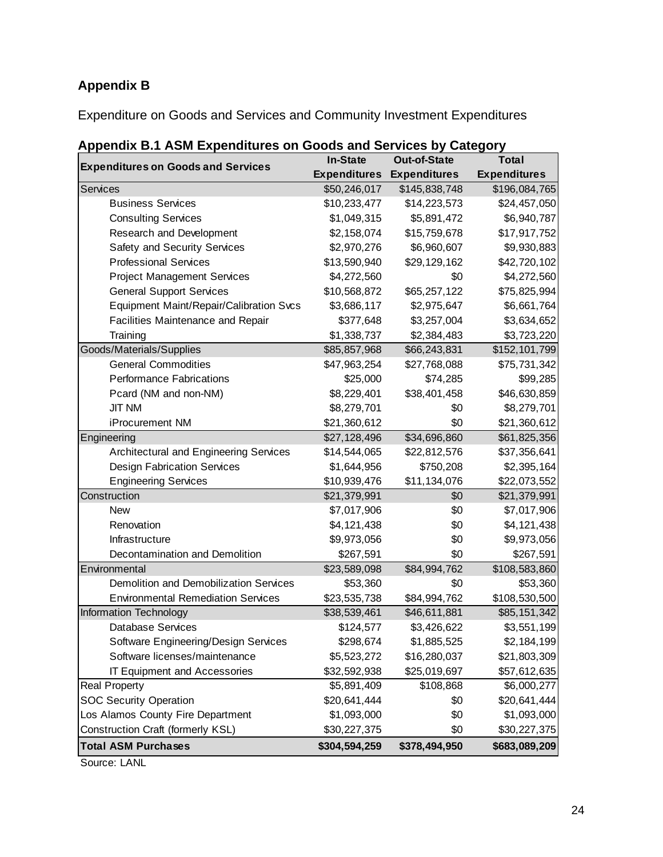# **Appendix B**

Expenditure on Goods and Services and Community Investment Expenditures

| <b>Expenditures on Goods and Services</b>     | <b>In-State</b>     | <b>Out-of-State</b> | <b>Total</b>        |
|-----------------------------------------------|---------------------|---------------------|---------------------|
|                                               | <b>Expenditures</b> | <b>Expenditures</b> | <b>Expenditures</b> |
| <b>Services</b>                               | \$50,246,017        | \$145,838,748       | \$196,084,765       |
| <b>Business Services</b>                      | \$10,233,477        | \$14,223,573        | \$24,457,050        |
| <b>Consulting Services</b>                    | \$1,049,315         | \$5,891,472         | \$6,940,787         |
| Research and Development                      | \$2,158,074         | \$15,759,678        | \$17,917,752        |
| Safety and Security Services                  | \$2,970,276         | \$6,960,607         | \$9,930,883         |
| <b>Professional Services</b>                  | \$13,590,940        | \$29,129,162        | \$42,720,102        |
| <b>Project Management Services</b>            | \$4,272,560         | \$0                 | \$4,272,560         |
| <b>General Support Services</b>               | \$10,568,872        | \$65,257,122        | \$75,825,994        |
| Equipment Maint/Repair/Calibration Svcs       | \$3,686,117         | \$2,975,647         | \$6,661,764         |
| Facilities Maintenance and Repair             | \$377,648           | \$3,257,004         | \$3,634,652         |
| Training                                      | \$1,338,737         | \$2,384,483         | \$3,723,220         |
| Goods/Materials/Supplies                      | \$85,857,968        | \$66,243,831        | \$152,101,799       |
| <b>General Commodities</b>                    | \$47,963,254        | \$27,768,088        | \$75,731,342        |
| <b>Performance Fabrications</b>               | \$25,000            | \$74,285            | \$99,285            |
| Pcard (NM and non-NM)                         | \$8,229,401         | \$38,401,458        | \$46,630,859        |
| <b>JIT NM</b>                                 | \$8,279,701         | \$0                 | \$8,279,701         |
| iProcurement NM                               | \$21,360,612        | \$0                 | \$21,360,612        |
| Engineering                                   | \$27,128,496        | \$34,696,860        | \$61,825,356        |
| Architectural and Engineering Services        | \$14,544,065        | \$22,812,576        | \$37,356,641        |
| <b>Design Fabrication Services</b>            | \$1,644,956         | \$750,208           | \$2,395,164         |
| <b>Engineering Services</b>                   | \$10,939,476        | \$11,134,076        | \$22,073,552        |
| Construction                                  | \$21,379,991        | \$0                 | \$21,379,991        |
| <b>New</b>                                    | \$7,017,906         | \$0                 | \$7,017,906         |
| Renovation                                    | \$4,121,438         | \$0                 | \$4,121,438         |
| Infrastructure                                | \$9,973,056         | \$0                 | \$9,973,056         |
| Decontamination and Demolition                | \$267,591           | \$0                 | \$267,591           |
| Environmental                                 | \$23,589,098        | \$84,994,762        | \$108,583,860       |
| <b>Demolition and Demobilization Services</b> | \$53,360            | \$0                 | \$53,360            |
| <b>Environmental Remediation Services</b>     | \$23,535,738        | \$84,994,762        | \$108,530,500       |
| Information Technology                        | \$38,539,461        | \$46,611,881        | \$85,151,342        |
| <b>Database Services</b>                      | \$124,577           | \$3,426,622         | \$3,551,199         |
| Software Engineering/Design Services          | \$298,674           | \$1,885,525         | \$2,184,199         |
| Software licenses/maintenance                 | \$5,523,272         | \$16,280,037        | \$21,803,309        |
| <b>IT Equipment and Accessories</b>           | \$32,592,938        | \$25,019,697        | \$57,612,635        |
| <b>Real Property</b>                          | \$5,891,409         | \$108,868           | \$6,000,277         |
| <b>SOC Security Operation</b>                 | \$20,641,444        | \$0                 | \$20,641,444        |
| Los Alamos County Fire Department             | \$1,093,000         | \$0                 | \$1,093,000         |
| Construction Craft (formerly KSL)             | \$30,227,375        | \$0                 | \$30,227,375        |
| <b>Total ASM Purchases</b>                    | \$304,594,259       | \$378,494,950       | \$683,089,209       |

|  |  | Appendix B.1 ASM Expenditures on Goods and Services by Category |  |  |  |  |
|--|--|-----------------------------------------------------------------|--|--|--|--|
|  |  |                                                                 |  |  |  |  |

Source: LANL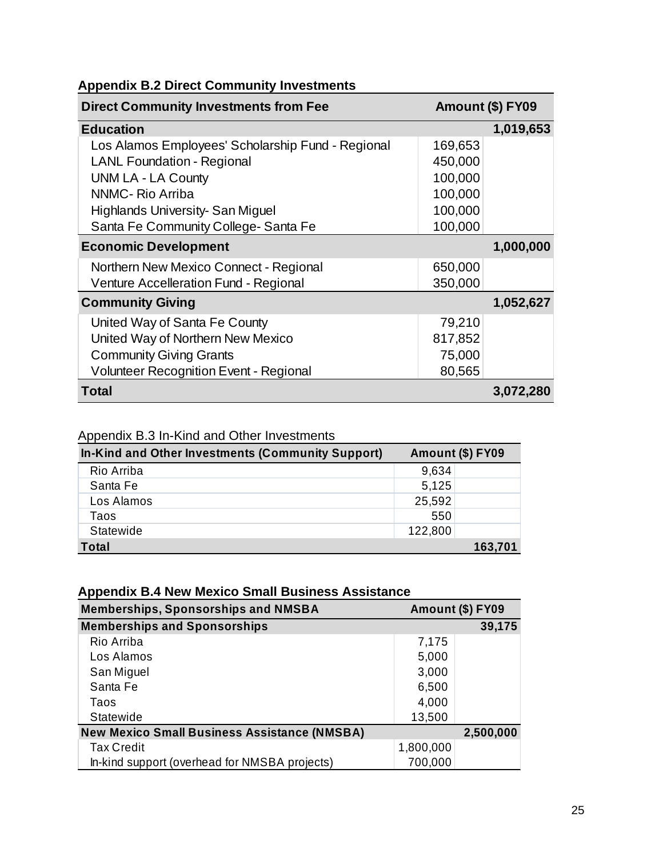| <b>Direct Community Investments from Fee</b>      | Amount (\$) FY09 |           |
|---------------------------------------------------|------------------|-----------|
| <b>Education</b>                                  |                  | 1,019,653 |
| Los Alamos Employees' Scholarship Fund - Regional | 169,653          |           |
| <b>LANL Foundation - Regional</b>                 | 450,000          |           |
| <b>UNM LA - LA County</b>                         | 100,000          |           |
| NNMC-Rio Arriba                                   | 100,000          |           |
| <b>Highlands University-San Miguel</b>            | 100,000          |           |
| Santa Fe Community College-Santa Fe               | 100,000          |           |
| <b>Economic Development</b>                       |                  | 1,000,000 |
| Northern New Mexico Connect - Regional            | 650,000          |           |
| Venture Accelleration Fund - Regional             | 350,000          |           |
| <b>Community Giving</b>                           |                  | 1,052,627 |
| United Way of Santa Fe County                     | 79,210           |           |
| United Way of Northern New Mexico                 | 817,852          |           |
| <b>Community Giving Grants</b>                    | 75,000           |           |
| <b>Volunteer Recognition Event - Regional</b>     | 80,565           |           |
| Total                                             |                  | 3,072,280 |

## **Appendix B.2 Direct Community Investments**

#### Appendix B.3 In-Kind and Other Investments

| In-Kind and Other Investments (Community Support) | Amount (\$) FY09 |         |
|---------------------------------------------------|------------------|---------|
|                                                   |                  |         |
| Rio Arriba                                        | 9,634            |         |
| Santa Fe                                          | 5,125            |         |
| Los Alamos                                        | 25,592           |         |
| Taos                                              | 550              |         |
| Statewide                                         | 122,800          |         |
| Total                                             |                  | 163,701 |

## **Appendix B.4 New Mexico Small Business Assistance**

| <b>Memberships, Sponsorships and NMSBA</b>          |           | Amount (\$) FY09 |
|-----------------------------------------------------|-----------|------------------|
| <b>Memberships and Sponsorships</b>                 |           | 39,175           |
| Rio Arriba                                          | 7,175     |                  |
| Los Alamos                                          | 5,000     |                  |
| San Miguel                                          | 3,000     |                  |
| Santa Fe                                            | 6,500     |                  |
| Taos                                                | 4,000     |                  |
| Statewide                                           | 13,500    |                  |
| <b>New Mexico Small Business Assistance (NMSBA)</b> |           | 2,500,000        |
| <b>Tax Credit</b>                                   | 1,800,000 |                  |
| In-kind support (overhead for NMSBA projects)       | 700,000   |                  |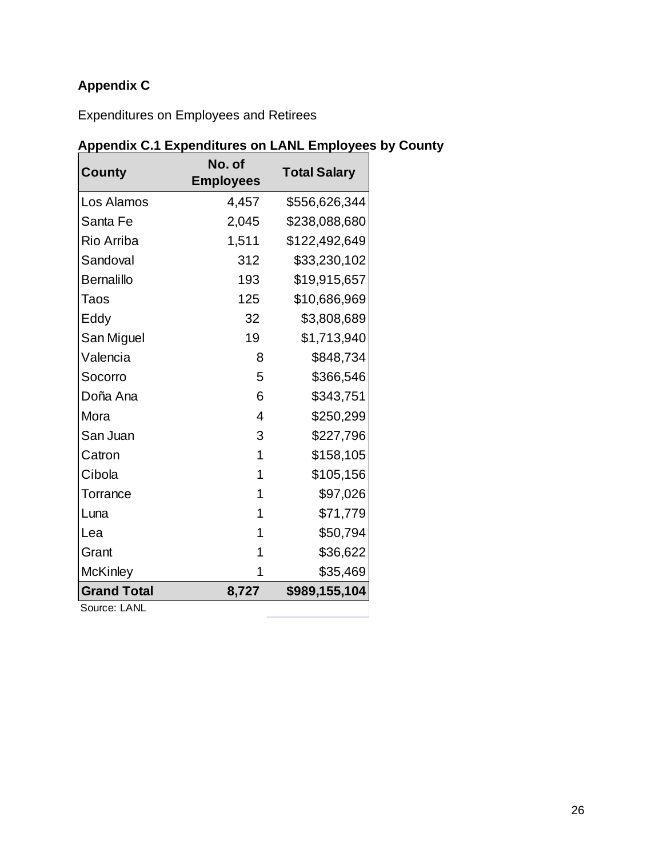# **Appendix C**

Expenditures on Employees and Retirees

| <b>County</b>      | No. of<br><b>Employees</b> | <b>Total Salary</b> |
|--------------------|----------------------------|---------------------|
| Los Alamos         | 4,457                      | \$556,626,344       |
| Santa Fe           | 2,045                      | \$238,088,680       |
| Rio Arriba         | 1,511                      | \$122,492,649       |
| Sandoval           | 312                        | \$33,230,102        |
| <b>Bernalillo</b>  | 193                        | \$19,915,657        |
| Taos               | 125                        | \$10,686,969        |
| Eddy               | 32                         | \$3,808,689         |
| San Miguel         | 19                         | \$1,713,940         |
| Valencia           | 8                          | \$848,734           |
| Socorro            | 5                          | \$366,546           |
| Doña Ana           | 6                          | \$343,751           |
| Mora               | $\overline{4}$             | \$250,299           |
| San Juan           | 3                          | \$227,796           |
| Catron             | 1                          | \$158,105           |
| Cibola             | 1                          | \$105,156           |
| Torrance           | 1                          | \$97,026            |
| Luna               | 1                          | \$71,779            |
| Lea                | 1                          | \$50,794            |
| Grant              | 1                          | \$36,622            |
| <b>McKinley</b>    | 1                          | \$35,469            |
| <b>Grand Total</b> | 8,727                      | \$989,155,104       |
| Source: LANL       |                            |                     |

# **Appendix C.1 Expenditures on LANL Employees by County**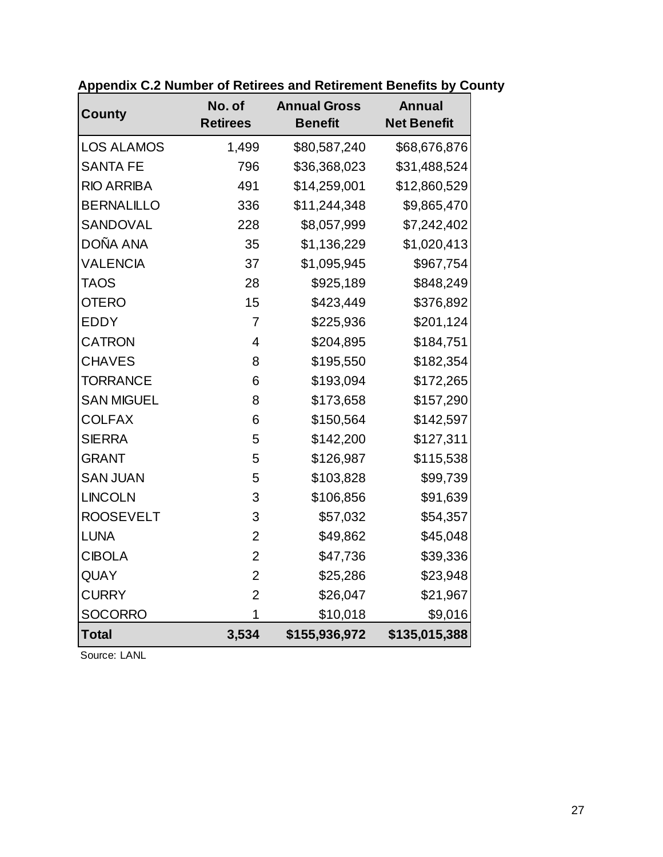| <b>County</b>     | No. of<br><b>Retirees</b> | <b>Annual Gross</b><br><b>Benefit</b> | <b>Annual</b><br><b>Net Benefit</b> |
|-------------------|---------------------------|---------------------------------------|-------------------------------------|
| <b>LOS ALAMOS</b> | 1,499                     | \$80,587,240                          | \$68,676,876                        |
| <b>SANTA FE</b>   | 796                       | \$36,368,023                          | \$31,488,524                        |
| <b>RIO ARRIBA</b> | 491                       | \$14,259,001                          | \$12,860,529                        |
| <b>BERNALILLO</b> | 336                       | \$11,244,348                          | \$9,865,470                         |
| SANDOVAL          | 228                       | \$8,057,999                           | \$7,242,402                         |
| DOÑA ANA          | 35                        | \$1,136,229                           | \$1,020,413                         |
| <b>VALENCIA</b>   | 37                        | \$1,095,945                           | \$967,754                           |
| <b>TAOS</b>       | 28                        | \$925,189                             | \$848,249                           |
| <b>OTERO</b>      | 15                        | \$423,449                             | \$376,892                           |
| <b>EDDY</b>       | 7                         | \$225,936                             | \$201,124                           |
| <b>CATRON</b>     | 4                         | \$204,895                             | \$184,751                           |
| <b>CHAVES</b>     | 8                         | \$195,550                             | \$182,354                           |
| <b>TORRANCE</b>   | 6                         | \$193,094                             | \$172,265                           |
| <b>SAN MIGUEL</b> | 8                         | \$173,658                             | \$157,290                           |
| <b>COLFAX</b>     | 6                         | \$150,564                             | \$142,597                           |
| <b>SIERRA</b>     | 5                         | \$142,200                             | \$127,311                           |
| <b>GRANT</b>      | 5                         | \$126,987                             | \$115,538                           |
| <b>SAN JUAN</b>   | 5                         | \$103,828                             | \$99,739                            |
| <b>LINCOLN</b>    | 3                         | \$106,856                             | \$91,639                            |
| <b>ROOSEVELT</b>  | 3                         | \$57,032                              | \$54,357                            |
| <b>LUNA</b>       | $\overline{2}$            | \$49,862                              | \$45,048                            |
| <b>CIBOLA</b>     | $\overline{2}$            | \$47,736                              | \$39,336                            |
| <b>QUAY</b>       | $\overline{2}$            | \$25,286                              | \$23,948                            |
| <b>CURRY</b>      | $\overline{2}$            | \$26,047                              | \$21,967                            |
| <b>SOCORRO</b>    | 1                         | \$10,018                              | \$9,016                             |
| <b>Total</b>      | 3,534                     | \$155,936,972                         | \$135,015,388                       |

**Appendix C.2 Number of Retirees and Retirement Benefits by County** 

Source: LANL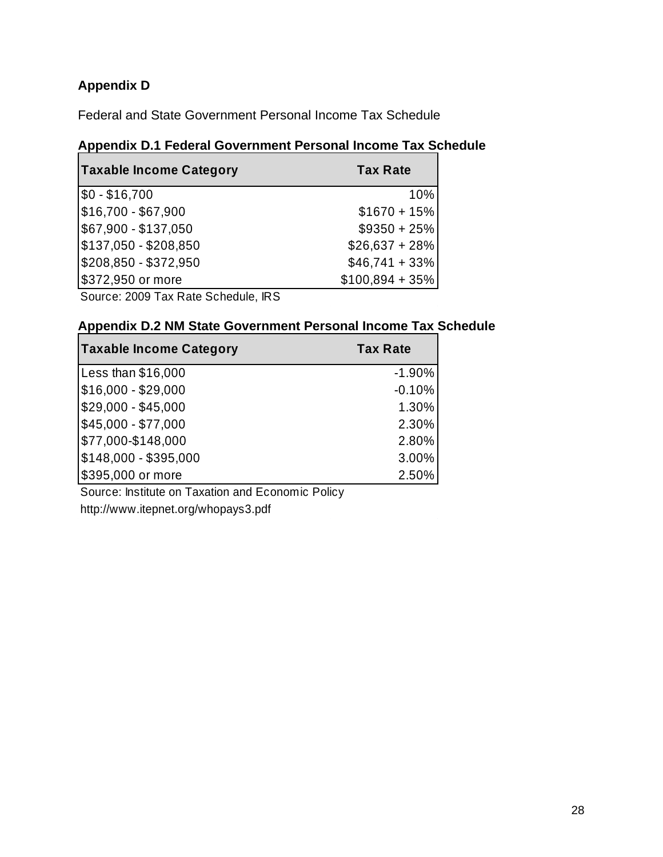# **Appendix D**

Federal and State Government Personal Income Tax Schedule

## **Appendix D.1 Federal Government Personal Income Tax Schedule**

| <b>Taxable Income Category</b>      | <b>Tax Rate</b>   |
|-------------------------------------|-------------------|
| $$0 - $16,700$                      | 10%               |
| \$16,700 - \$67,900                 | $$1670 + 15\%$    |
| \$67,900 - \$137,050                | $$9350 + 25\%$    |
| \$137,050 - \$208,850               | $$26,637 + 28\%$  |
| \$208,850 - \$372,950               | $$46,741 + 33\%$  |
| \$372,950 or more                   | $$100,894 + 35\%$ |
| Source: 2009 Tax Rate Schedule, IRS |                   |

## **Appendix D.2 NM State Government Personal Income Tax Schedule**

| Taxable Income Category | <b>Tax Rate</b> |
|-------------------------|-----------------|
| Less than \$16,000      | $-1.90\%$       |
| $$16,000 - $29,000$     | $-0.10%$        |
| $$29,000 - $45,000$     | 1.30%           |
| \$45,000 - \$77,000     | 2.30%           |
| \$77,000-\$148,000      | 2.80%           |
| $$148,000 - $395,000$   | 3.00%           |
| \$395,000 or more       | 2.50%           |

Source: Institute on Taxation and Economic Policy

http://www.itepnet.org/whopays3.pdf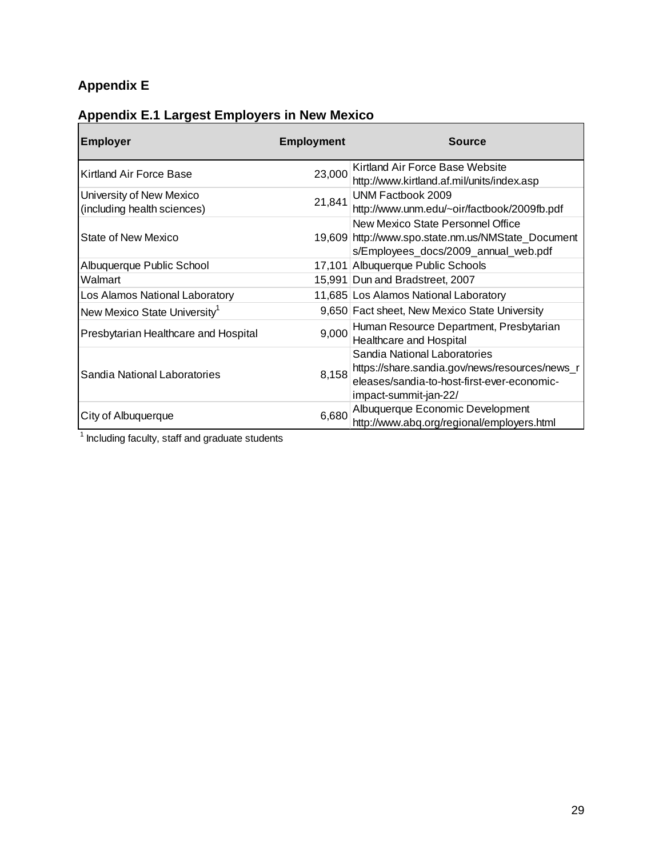# **Appendix E**

| <b>Appendix E.1 Largest Employers in New Mexico</b> |  |  |  |
|-----------------------------------------------------|--|--|--|
|                                                     |  |  |  |

| <b>Employer</b>                                         | <b>Employment</b> | <b>Source</b>                                                                                                                                          |
|---------------------------------------------------------|-------------------|--------------------------------------------------------------------------------------------------------------------------------------------------------|
| Kirtland Air Force Base                                 | 23,000            | Kirtland Air Force Base Website<br>http://www.kirtland.af.mil/units/index.asp                                                                          |
| University of New Mexico<br>(including health sciences) | 21,841            | UNM Factbook 2009<br>http://www.unm.edu/~oir/factbook/2009fb.pdf                                                                                       |
| State of New Mexico                                     | 19,609            | New Mexico State Personnel Office<br>http://www.spo.state.nm.us/NMState_Document<br>s/Employees_docs/2009_annual_web.pdf                               |
| Albuquerque Public School                               |                   | 17,101 Albuquerque Public Schools                                                                                                                      |
| Walmart                                                 |                   | 15,991 Dun and Bradstreet, 2007                                                                                                                        |
| Los Alamos National Laboratory                          |                   | 11,685 Los Alamos National Laboratory                                                                                                                  |
| New Mexico State University <sup>1</sup>                |                   | 9,650 Fact sheet, New Mexico State University                                                                                                          |
| Presbytarian Healthcare and Hospital                    | 9,000             | Human Resource Department, Presbytarian<br>Healthcare and Hospital                                                                                     |
| Sandia National Laboratories                            | 8,158             | Sandia National Laboratories<br>https://share.sandia.gov/news/resources/news_r<br>eleases/sandia-to-host-first-ever-economic-<br>impact-summit-jan-22/ |
| City of Albuquerque                                     | 6,680             | Albuquerque Economic Development<br>http://www.abq.org/regional/employers.html                                                                         |

1 Including faculty, staff and graduate students